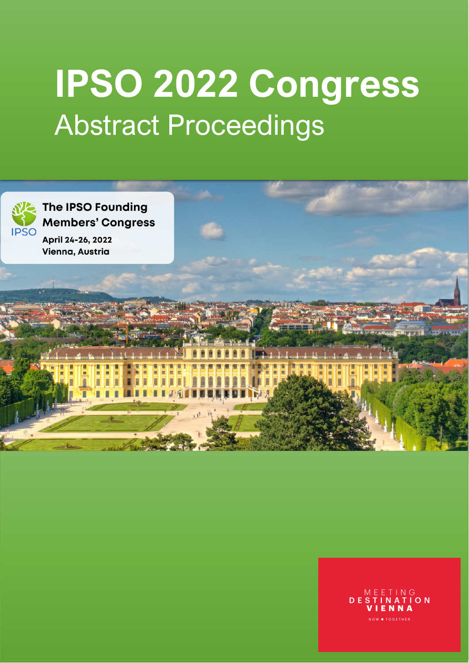# **IPSO 2022 Congress** Abstract Proceedings



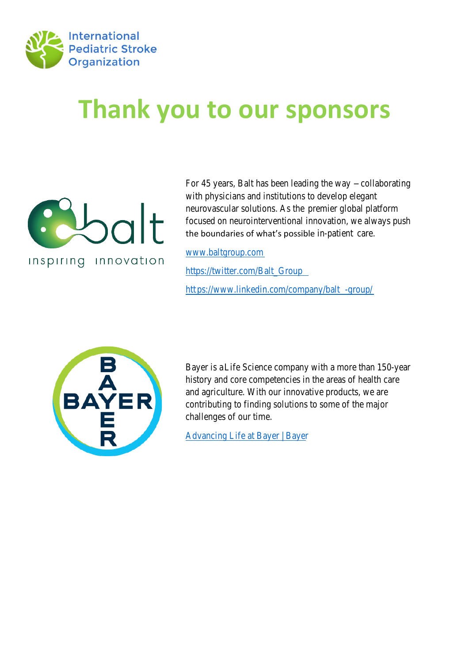

# **Thank you to our sponsors**



For 45 years, Balt has been leadoihab the twa with physicians and institutions to develop neurovascular solutionser as the platform focused on neurointerventional innovation, the boundaries of what's possible in-patientare.

www.baltgroup.com

https://twitter.com/Balt\_Group htps://www.linkedin.com/company/balt



Bayer iblife Science company with a meane history and core competencies in the area and agriculture. With our innovative produ contributing to finding solutions to some challenges of our time.

Advancing Life at Bayer | Bayer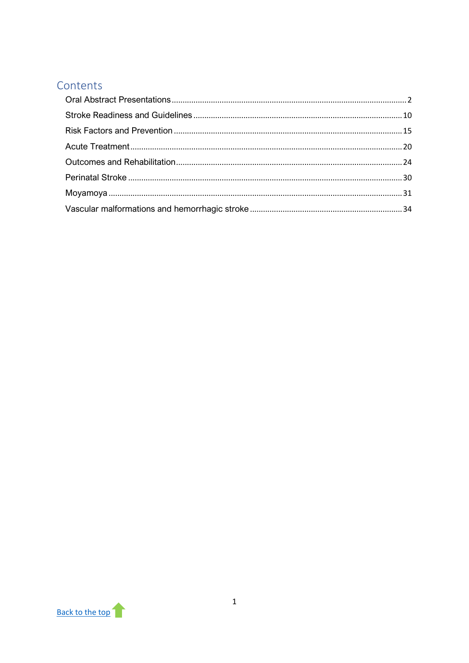# <span id="page-2-0"></span>Contents

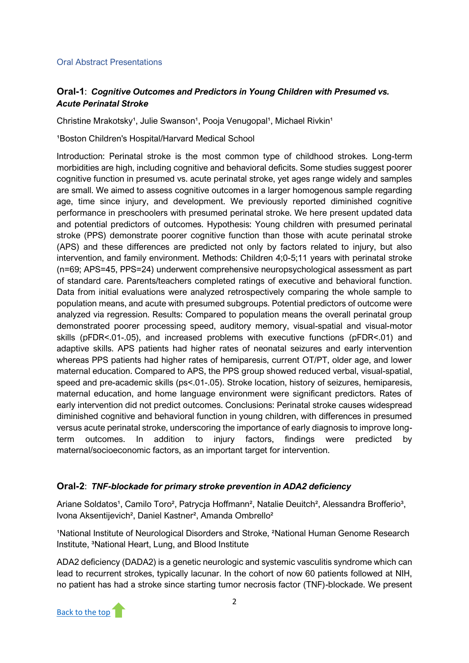#### <span id="page-3-0"></span>Oral Abstract Presentations

# **Oral-1**: *Cognitive Outcomes and Predictors in Young Children with Presumed vs. Acute Perinatal Stroke*

Christine Mrakotsky<sup>1</sup>, Julie Swanson<sup>1</sup>, Pooja Venugopal<sup>1</sup>, Michael Rivkin<sup>1</sup>

<sup>1</sup>Boston Children's Hospital/Harvard Medical School

Introduction: Perinatal stroke is the most common type of childhood strokes. Long-term morbidities are high, including cognitive and behavioral deficits. Some studies suggest poorer cognitive function in presumed vs. acute perinatal stroke, yet ages range widely and samples are small. We aimed to assess cognitive outcomes in a larger homogenous sample regarding age, time since injury, and development. We previously reported diminished cognitive performance in preschoolers with presumed perinatal stroke. We here present updated data and potential predictors of outcomes. Hypothesis: Young children with presumed perinatal stroke (PPS) demonstrate poorer cognitive function than those with acute perinatal stroke (APS) and these differences are predicted not only by factors related to injury, but also intervention, and family environment. Methods: Children 4;0-5;11 years with perinatal stroke (n=69; APS=45, PPS=24) underwent comprehensive neuropsychological assessment as part of standard care. Parents/teachers completed ratings of executive and behavioral function. Data from initial evaluations were analyzed retrospectively comparing the whole sample to population means, and acute with presumed subgroups. Potential predictors of outcome were analyzed via regression. Results: Compared to population means the overall perinatal group demonstrated poorer processing speed, auditory memory, visual-spatial and visual-motor skills (pFDR<.01-.05), and increased problems with executive functions (pFDR<.01) and adaptive skills. APS patients had higher rates of neonatal seizures and early intervention whereas PPS patients had higher rates of hemiparesis, current OT/PT, older age, and lower maternal education. Compared to APS, the PPS group showed reduced verbal, visual-spatial, speed and pre-academic skills (ps<.01-.05). Stroke location, history of seizures, hemiparesis, maternal education, and home language environment were significant predictors. Rates of early intervention did not predict outcomes. Conclusions: Perinatal stroke causes widespread diminished cognitive and behavioral function in young children, with differences in presumed versus acute perinatal stroke, underscoring the importance of early diagnosis to improve longterm outcomes. In addition to injury factors, findings were predicted by maternal/socioeconomic factors, as an important target for intervention.

# **Oral-2**: *TNF-blockade for primary stroke prevention in ADA2 deficiency*

Ariane Soldatos<sup>1</sup>, Camilo Toro<sup>2</sup>, Patrycia Hoffmann<sup>2</sup>, Natalie Deuitch<sup>2</sup>, Alessandra Brofferio<sup>3</sup>, Ivona Aksentijevich², Daniel Kastner², Amanda Ombrello²

<sup>1</sup>National Institute of Neurological Disorders and Stroke, <sup>2</sup>National Human Genome Research Institute, <sup>3</sup>National Heart, Lung, and Blood Institute

ADA2 deficiency (DADA2) is a genetic neurologic and systemic vasculitis syndrome which can lead to recurrent strokes, typically lacunar. In the cohort of now 60 patients followed at NIH, no patient has had a stroke since starting tumor necrosis factor (TNF)-blockade. We present

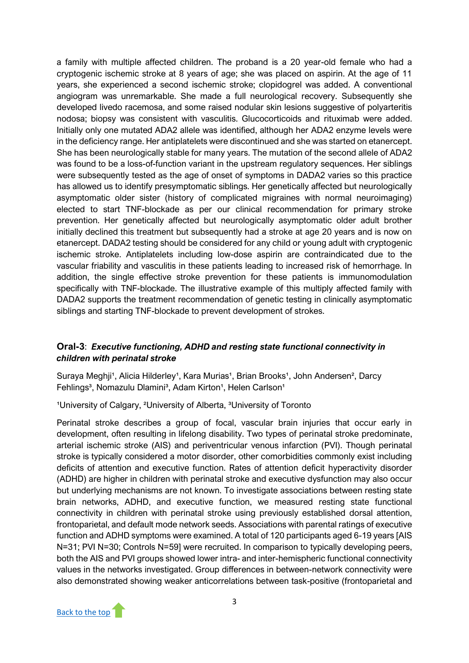a family with multiple affected children. The proband is a 20 year-old female who had a cryptogenic ischemic stroke at 8 years of age; she was placed on aspirin. At the age of 11 years, she experienced a second ischemic stroke; clopidogrel was added. A conventional angiogram was unremarkable. She made a full neurological recovery. Subsequently she developed livedo racemosa, and some raised nodular skin lesions suggestive of polyarteritis nodosa; biopsy was consistent with vasculitis. Glucocorticoids and rituximab were added. Initially only one mutated ADA2 allele was identified, although her ADA2 enzyme levels were in the deficiency range. Her antiplatelets were discontinued and she was started on etanercept. She has been neurologically stable for many years. The mutation of the second allele of ADA2 was found to be a loss-of-function variant in the upstream regulatory sequences. Her siblings were subsequently tested as the age of onset of symptoms in DADA2 varies so this practice has allowed us to identify presymptomatic siblings. Her genetically affected but neurologically asymptomatic older sister (history of complicated migraines with normal neuroimaging) elected to start TNF-blockade as per our clinical recommendation for primary stroke prevention. Her genetically affected but neurologically asymptomatic older adult brother initially declined this treatment but subsequently had a stroke at age 20 years and is now on etanercept. DADA2 testing should be considered for any child or young adult with cryptogenic ischemic stroke. Antiplatelets including low-dose aspirin are contraindicated due to the vascular friability and vasculitis in these patients leading to increased risk of hemorrhage. In addition, the single effective stroke prevention for these patients is immunomodulation specifically with TNF-blockade. The illustrative example of this multiply affected family with DADA2 supports the treatment recommendation of genetic testing in clinically asymptomatic siblings and starting TNF-blockade to prevent development of strokes.

### **Oral-3**: *Executive functioning, ADHD and resting state functional connectivity in children with perinatal stroke*

Suraya Meghii<sup>1</sup>, Alicia Hilderley<sup>1</sup>, Kara Murias<sup>1</sup>, Brian Brooks<sup>1</sup>, John Andersen<sup>2</sup>, Darcy Fehlings<sup>3</sup>, Nomazulu Dlamini<sup>3</sup>, Adam Kirton<sup>1</sup>, Helen Carlson<sup>1</sup>

<sup>1</sup>University of Calgary, <sup>2</sup>University of Alberta, <sup>3</sup>University of Toronto

Perinatal stroke describes a group of focal, vascular brain injuries that occur early in development, often resulting in lifelong disability. Two types of perinatal stroke predominate, arterial ischemic stroke (AIS) and periventricular venous infarction (PVI). Though perinatal stroke is typically considered a motor disorder, other comorbidities commonly exist including deficits of attention and executive function. Rates of attention deficit hyperactivity disorder (ADHD) are higher in children with perinatal stroke and executive dysfunction may also occur but underlying mechanisms are not known. To investigate associations between resting state brain networks, ADHD, and executive function, we measured resting state functional connectivity in children with perinatal stroke using previously established dorsal attention, frontoparietal, and default mode network seeds. Associations with parental ratings of executive function and ADHD symptoms were examined. A total of 120 participants aged 6-19 years [AIS N=31; PVI N=30; Controls N=59] were recruited. In comparison to typically developing peers, both the AIS and PVI groups showed lower intra- and inter-hemispheric functional connectivity values in the networks investigated. Group differences in between-network connectivity were also demonstrated showing weaker anticorrelations between task-positive (frontoparietal and

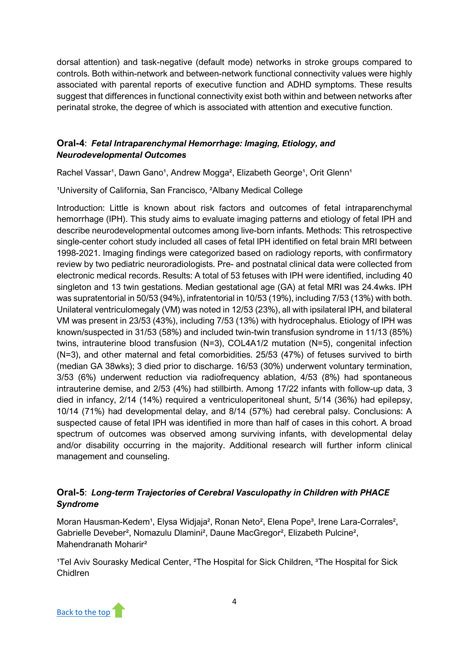dorsal attention) and task-negative (default mode) networks in stroke groups compared to controls. Both within-network and between-network functional connectivity values were highly associated with parental reports of executive function and ADHD symptoms. These results suggest that differences in functional connectivity exist both within and between networks after perinatal stroke, the degree of which is associated with attention and executive function.

# **Oral-4**: *Fetal Intraparenchymal Hemorrhage: Imaging, Etiology, and Neurodevelopmental Outcomes*

Rachel Vassar<sup>1</sup>, Dawn Gano<sup>1</sup>, Andrew Mogga<sup>2</sup>, Elizabeth George<sup>1</sup>, Orit Glenn<sup>1</sup>

<sup>1</sup>University of California, San Francisco, <sup>2</sup>Albany Medical College

Introduction: Little is known about risk factors and outcomes of fetal intraparenchymal hemorrhage (IPH). This study aims to evaluate imaging patterns and etiology of fetal IPH and describe neurodevelopmental outcomes among live-born infants. Methods: This retrospective single-center cohort study included all cases of fetal IPH identified on fetal brain MRI between 1998-2021. Imaging findings were categorized based on radiology reports, with confirmatory review by two pediatric neuroradiologists. Pre- and postnatal clinical data were collected from electronic medical records. Results: A total of 53 fetuses with IPH were identified, including 40 singleton and 13 twin gestations. Median gestational age (GA) at fetal MRI was 24.4wks. IPH was supratentorial in 50/53 (94%), infratentorial in 10/53 (19%), including 7/53 (13%) with both. Unilateral ventriculomegaly (VM) was noted in 12/53 (23%), all with ipsilateral IPH, and bilateral VM was present in 23/53 (43%), including 7/53 (13%) with hydrocephalus. Etiology of IPH was known/suspected in 31/53 (58%) and included twin-twin transfusion syndrome in 11/13 (85%) twins, intrauterine blood transfusion (N=3), COL4A1/2 mutation (N=5), congenital infection (N=3), and other maternal and fetal comorbidities. 25/53 (47%) of fetuses survived to birth (median GA 38wks); 3 died prior to discharge. 16/53 (30%) underwent voluntary termination, 3/53 (6%) underwent reduction via radiofrequency ablation, 4/53 (8%) had spontaneous intrauterine demise, and 2/53 (4%) had stillbirth. Among 17/22 infants with follow-up data, 3 died in infancy, 2/14 (14%) required a ventriculoperitoneal shunt, 5/14 (36%) had epilepsy, 10/14 (71%) had developmental delay, and 8/14 (57%) had cerebral palsy. Conclusions: A suspected cause of fetal IPH was identified in more than half of cases in this cohort. A broad spectrum of outcomes was observed among surviving infants, with developmental delay and/or disability occurring in the majority. Additional research will further inform clinical management and counseling.

# **Oral-5**: *Long-term Trajectories of Cerebral Vasculopathy in Children with PHACE Syndrome*

Moran Hausman-Kedem<sup>1</sup>, Elysa Widjaja<sup>2</sup>, Ronan Neto<sup>2</sup>, Elena Pope<sup>3</sup>, Irene Lara-Corrales<sup>2</sup>, Gabrielle Deveber², Nomazulu Dlamini², Daune MacGregor², Elizabeth Pulcine², Mahendranath Moharir²

<sup>1</sup>Tel Aviv Sourasky Medical Center, <sup>2</sup>The Hospital for Sick Children, <sup>3</sup>The Hospital for Sick Chidlren

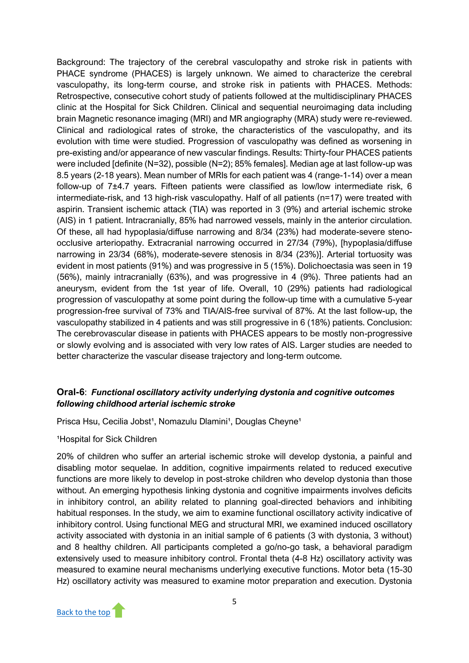Background: The trajectory of the cerebral vasculopathy and stroke risk in patients with PHACE syndrome (PHACES) is largely unknown. We aimed to characterize the cerebral vasculopathy, its long-term course, and stroke risk in patients with PHACES. Methods: Retrospective, consecutive cohort study of patients followed at the multidisciplinary PHACES clinic at the Hospital for Sick Children. Clinical and sequential neuroimaging data including brain Magnetic resonance imaging (MRI) and MR angiography (MRA) study were re-reviewed. Clinical and radiological rates of stroke, the characteristics of the vasculopathy, and its evolution with time were studied. Progression of vasculopathy was defined as worsening in pre-existing and/or appearance of new vascular findings. Results: Thirty-four PHACES patients were included [definite (N=32), possible (N=2); 85% females]. Median age at last follow-up was 8.5 years (2-18 years). Mean number of MRIs for each patient was 4 (range-1-14) over a mean follow-up of 7±4.7 years. Fifteen patients were classified as low/low intermediate risk, 6 intermediate-risk, and 13 high-risk vasculopathy. Half of all patients (n=17) were treated with aspirin. Transient ischemic attack (TIA) was reported in 3 (9%) and arterial ischemic stroke (AIS) in 1 patient. Intracranially, 85% had narrowed vessels, mainly in the anterior circulation. Of these, all had hypoplasia/diffuse narrowing and 8/34 (23%) had moderate-severe stenoocclusive arteriopathy. Extracranial narrowing occurred in 27/34 (79%), [hypoplasia/diffuse narrowing in 23/34 (68%), moderate-severe stenosis in 8/34 (23%)]. Arterial tortuosity was evident in most patients (91%) and was progressive in 5 (15%). Dolichoectasia was seen in 19 (56%), mainly intracranially (63%), and was progressive in 4 (9%). Three patients had an aneurysm, evident from the 1st year of life. Overall, 10 (29%) patients had radiological progression of vasculopathy at some point during the follow-up time with a cumulative 5-year progression-free survival of 73% and TIA/AIS-free survival of 87%. At the last follow-up, the vasculopathy stabilized in 4 patients and was still progressive in 6 (18%) patients. Conclusion: The cerebrovascular disease in patients with PHACES appears to be mostly non-progressive or slowly evolving and is associated with very low rates of AIS. Larger studies are needed to better characterize the vascular disease trajectory and long-term outcome.

# **Oral-6**: *Functional oscillatory activity underlying dystonia and cognitive outcomes following childhood arterial ischemic stroke*

Prisca Hsu, Cecilia Jobst<sup>1</sup>, Nomazulu Dlamini<sup>1</sup>, Douglas Cheyne<sup>1</sup>

<sup>1</sup>Hospital for Sick Children

20% of children who suffer an arterial ischemic stroke will develop dystonia, a painful and disabling motor sequelae. In addition, cognitive impairments related to reduced executive functions are more likely to develop in post-stroke children who develop dystonia than those without. An emerging hypothesis linking dystonia and cognitive impairments involves deficits in inhibitory control, an ability related to planning goal-directed behaviors and inhibiting habitual responses. In the study, we aim to examine functional oscillatory activity indicative of inhibitory control. Using functional MEG and structural MRI, we examined induced oscillatory activity associated with dystonia in an initial sample of 6 patients (3 with dystonia, 3 without) and 8 healthy children. All participants completed a go/no-go task, a behavioral paradigm extensively used to measure inhibitory control. Frontal theta (4-8 Hz) oscillatory activity was measured to examine neural mechanisms underlying executive functions. Motor beta (15-30 Hz) oscillatory activity was measured to examine motor preparation and execution. Dystonia

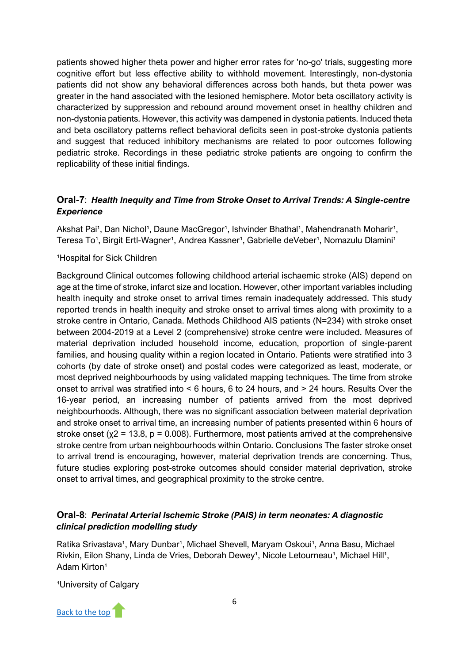patients showed higher theta power and higher error rates for 'no-go' trials, suggesting more cognitive effort but less effective ability to withhold movement. Interestingly, non-dystonia patients did not show any behavioral differences across both hands, but theta power was greater in the hand associated with the lesioned hemisphere. Motor beta oscillatory activity is characterized by suppression and rebound around movement onset in healthy children and non-dystonia patients. However, this activity was dampened in dystonia patients. Induced theta and beta oscillatory patterns reflect behavioral deficits seen in post-stroke dystonia patients and suggest that reduced inhibitory mechanisms are related to poor outcomes following pediatric stroke. Recordings in these pediatric stroke patients are ongoing to confirm the replicability of these initial findings.

# **Oral-7**: *Health Inequity and Time from Stroke Onset to Arrival Trends: A Single-centre Experience*

Akshat Pai<sup>1</sup>, Dan Nichol<sup>1</sup>, Daune MacGregor<sup>1</sup>, Ishvinder Bhathal<sup>1</sup>, Mahendranath Moharir<sup>1</sup>, Teresa To<sup>1</sup>, Birgit Ertl-Wagner<sup>1</sup>, Andrea Kassner<sup>1</sup>, Gabrielle deVeber<sup>1</sup>, Nomazulu Dlamini<sup>1</sup>

#### <sup>1</sup>Hospital for Sick Children

Background Clinical outcomes following childhood arterial ischaemic stroke (AIS) depend on age at the time of stroke, infarct size and location. However, other important variables including health inequity and stroke onset to arrival times remain inadequately addressed. This study reported trends in health inequity and stroke onset to arrival times along with proximity to a stroke centre in Ontario, Canada. Methods Childhood AIS patients (N=234) with stroke onset between 2004-2019 at a Level 2 (comprehensive) stroke centre were included. Measures of material deprivation included household income, education, proportion of single-parent families, and housing quality within a region located in Ontario. Patients were stratified into 3 cohorts (by date of stroke onset) and postal codes were categorized as least, moderate, or most deprived neighbourhoods by using validated mapping techniques. The time from stroke onset to arrival was stratified into < 6 hours, 6 to 24 hours, and > 24 hours. Results Over the 16-year period, an increasing number of patients arrived from the most deprived neighbourhoods. Although, there was no significant association between material deprivation and stroke onset to arrival time, an increasing number of patients presented within 6 hours of stroke onset ( $x^2$  = 13.8,  $p$  = 0.008). Furthermore, most patients arrived at the comprehensive stroke centre from urban neighbourhoods within Ontario. Conclusions The faster stroke onset to arrival trend is encouraging, however, material deprivation trends are concerning. Thus, future studies exploring post-stroke outcomes should consider material deprivation, stroke onset to arrival times, and geographical proximity to the stroke centre.

# **Oral-8**: *Perinatal Arterial Ischemic Stroke (PAIS) in term neonates: A diagnostic clinical prediction modelling study*

Ratika Srivastava<sup>1</sup>, Mary Dunbar<sup>1</sup>, Michael Shevell, Maryam Oskoui<sup>1</sup>, Anna Basu, Michael Rivkin, Eilon Shany, Linda de Vries, Deborah Dewey<sup>1</sup>, Nicole Letourneau<sup>1</sup>, Michael Hill<sup>1</sup>, Adam Kirton<sup>1</sup>

<sup>1</sup>University of Calgary

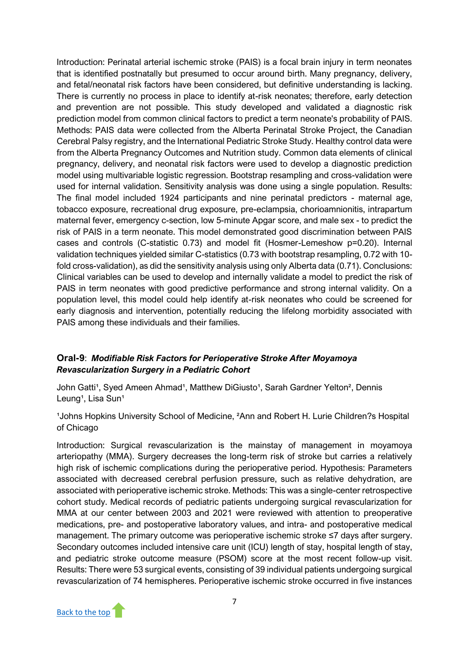Introduction: Perinatal arterial ischemic stroke (PAIS) is a focal brain injury in term neonates that is identified postnatally but presumed to occur around birth. Many pregnancy, delivery, and fetal/neonatal risk factors have been considered, but definitive understanding is lacking. There is currently no process in place to identify at-risk neonates; therefore, early detection and prevention are not possible. This study developed and validated a diagnostic risk prediction model from common clinical factors to predict a term neonate's probability of PAIS. Methods: PAIS data were collected from the Alberta Perinatal Stroke Project, the Canadian Cerebral Palsy registry, and the International Pediatric Stroke Study. Healthy control data were from the Alberta Pregnancy Outcomes and Nutrition study. Common data elements of clinical pregnancy, delivery, and neonatal risk factors were used to develop a diagnostic prediction model using multivariable logistic regression. Bootstrap resampling and cross-validation were used for internal validation. Sensitivity analysis was done using a single population. Results: The final model included 1924 participants and nine perinatal predictors - maternal age, tobacco exposure, recreational drug exposure, pre-eclampsia, chorioamnionitis, intrapartum maternal fever, emergency c-section, low 5-minute Apgar score, and male sex - to predict the risk of PAIS in a term neonate. This model demonstrated good discrimination between PAIS cases and controls (C-statistic 0.73) and model fit (Hosmer-Lemeshow p=0.20). Internal validation techniques yielded similar C-statistics (0.73 with bootstrap resampling, 0.72 with 10 fold cross-validation), as did the sensitivity analysis using only Alberta data (0.71). Conclusions: Clinical variables can be used to develop and internally validate a model to predict the risk of PAIS in term neonates with good predictive performance and strong internal validity. On a population level, this model could help identify at-risk neonates who could be screened for early diagnosis and intervention, potentially reducing the lifelong morbidity associated with PAIS among these individuals and their families.

# **Oral-9**: *Modifiable Risk Factors for Perioperative Stroke After Moyamoya Revascularization Surgery in a Pediatric Cohort*

John Gatti<sup>1</sup>, Syed Ameen Ahmad<sup>1</sup>, Matthew DiGiusto<sup>1</sup>, Sarah Gardner Yelton<sup>2</sup>, Dennis Leung<sup>1</sup>, Lisa Sun<sup>1</sup>

<sup>1</sup> Johns Hopkins University School of Medicine, <sup>2</sup>Ann and Robert H. Lurie Children?s Hospital of Chicago

Introduction: Surgical revascularization is the mainstay of management in moyamoya arteriopathy (MMA). Surgery decreases the long-term risk of stroke but carries a relatively high risk of ischemic complications during the perioperative period. Hypothesis: Parameters associated with decreased cerebral perfusion pressure, such as relative dehydration, are associated with perioperative ischemic stroke. Methods: This was a single-center retrospective cohort study. Medical records of pediatric patients undergoing surgical revascularization for MMA at our center between 2003 and 2021 were reviewed with attention to preoperative medications, pre- and postoperative laboratory values, and intra- and postoperative medical management. The primary outcome was perioperative ischemic stroke ≤7 days after surgery. Secondary outcomes included intensive care unit (ICU) length of stay, hospital length of stay, and pediatric stroke outcome measure (PSOM) score at the most recent follow-up visit. Results: There were 53 surgical events, consisting of 39 individual patients undergoing surgical revascularization of 74 hemispheres. Perioperative ischemic stroke occurred in five instances

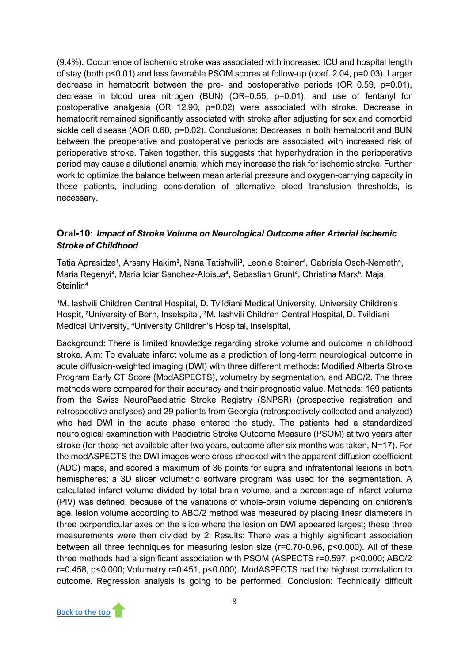(9.4%). Occurrence of ischemic stroke was associated with increased ICU and hospital length of stay (both p<0.01) and less favorable PSOM scores at follow-up (coef. 2.04, p=0.03). Larger decrease in hematocrit between the pre- and postoperative periods (OR 0.59, p=0.01), decrease in blood urea nitrogen (BUN) (OR=0.55, p=0.01), and use of fentanyl for postoperative analgesia (OR 12.90, p=0.02) were associated with stroke. Decrease in hematocrit remained significantly associated with stroke after adjusting for sex and comorbid sickle cell disease (AOR 0.60, p=0.02). Conclusions: Decreases in both hematocrit and BUN between the preoperative and postoperative periods are associated with increased risk of perioperative stroke. Taken together, this suggests that hyperhydration in the perioperative period may cause a dilutional anemia, which may increase the risk for ischemic stroke. Further work to optimize the balance between mean arterial pressure and oxygen-carrying capacity in these patients, including consideration of alternative blood transfusion thresholds, is necessary.

# **Oral-10**: *Impact of Stroke Volume on Neurological Outcome after Arterial Ischemic Stroke of Childhood*

Tatia Aprasidze<sup>1</sup>, Arsany Hakim<sup>2</sup>, Nana Tatishvili<sup>3</sup>, Leonie Steiner<sup>4</sup>, Gabriela Osch-Nemeth<sup>4</sup>, Maria Regenyi<sup>4</sup>, Maria Iciar Sanchez-Albisua<sup>4</sup>, Sebastian Grunt<sup>4</sup>, Christina Marx<sup>5</sup>, Maja Steinlin<sup>4</sup>

<sup>1</sup>M. Iashvili Children Central Hospital, D. Tvildiani Medical University, University Children's Hospit, <sup>2</sup>University of Bern, Inselspital, <sup>3</sup>M. Iashvili Children Central Hospital, D. Tvildiani Medical University, <sup>4</sup>University Children's Hospital, Inselspital,

Background: There is limited knowledge regarding stroke volume and outcome in childhood stroke. Aim: To evaluate infarct volume as a prediction of long-term neurological outcome in acute diffusion-weighted imaging (DWI) with three different methods: Modified Alberta Stroke Program Early CT Score (ModASPECTS), volumetry by segmentation, and ABC/2. The three methods were compared for their accuracy and their prognostic value. Methods: 169 patients from the Swiss NeuroPaediatric Stroke Registry (SNPSR) (prospective registration and retrospective analyses) and 29 patients from Georgia (retrospectively collected and analyzed) who had DWI in the acute phase entered the study. The patients had a standardized neurological examination with Paediatric Stroke Outcome Measure (PSOM) at two years after stroke (for those not available after two years, outcome after six months was taken, N=17). For the modASPECTS the DWI images were cross-checked with the apparent diffusion coefficient (ADC) maps, and scored a maximum of 36 points for supra and infratentorial lesions in both hemispheres; a 3D slicer volumetric software program was used for the segmentation. A calculated infarct volume divided by total brain volume, and a percentage of infarct volume (PIV) was defined, because of the variations of whole-brain volume depending on children's age. lesion volume according to ABC/2 method was measured by placing linear diameters in three perpendicular axes on the slice where the lesion on DWI appeared largest; these three measurements were then divided by 2; Results: There was a highly significant association between all three techniques for measuring lesion size (r=0.70-0.96, p<0.000). All of these three methods had a significant association with PSOM (ASPECTS r=0.597, p<0.000; ABC/2 r=0.458, p<0.000; Volumetry r=0.451, p<0.000). ModASPECTS had the highest correlation to outcome. Regression analysis is going to be performed. Conclusion: Technically difficult

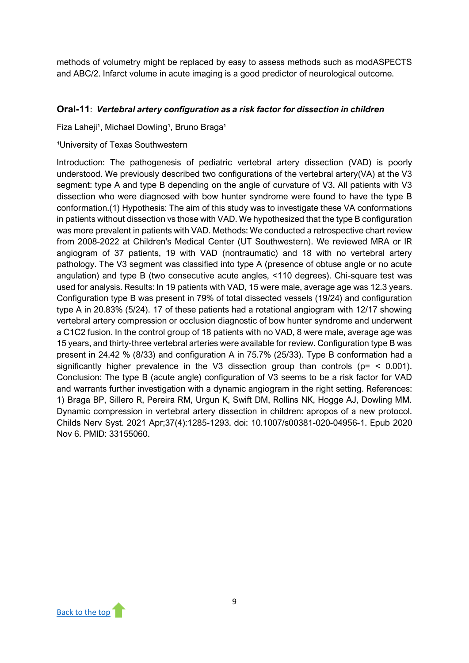methods of volumetry might be replaced by easy to assess methods such as modASPECTS and ABC/2. Infarct volume in acute imaging is a good predictor of neurological outcome.

# **Oral-11**: *Vertebral artery configuration as a risk factor for dissection in children*

Fiza Laheji<sup>1</sup>, Michael Dowling<sup>1</sup>, Bruno Braga<sup>1</sup>

#### <sup>1</sup>University of Texas Southwestern

Introduction: The pathogenesis of pediatric vertebral artery dissection (VAD) is poorly understood. We previously described two configurations of the vertebral artery(VA) at the V3 segment: type A and type B depending on the angle of curvature of V3. All patients with V3 dissection who were diagnosed with bow hunter syndrome were found to have the type B conformation.(1) Hypothesis: The aim of this study was to investigate these VA conformations in patients without dissection vs those with VAD. We hypothesized that the type B configuration was more prevalent in patients with VAD. Methods: We conducted a retrospective chart review from 2008-2022 at Children's Medical Center (UT Southwestern). We reviewed MRA or IR angiogram of 37 patients, 19 with VAD (nontraumatic) and 18 with no vertebral artery pathology. The V3 segment was classified into type A (presence of obtuse angle or no acute angulation) and type B (two consecutive acute angles, <110 degrees). Chi-square test was used for analysis. Results: In 19 patients with VAD, 15 were male, average age was 12.3 years. Configuration type B was present in 79% of total dissected vessels (19/24) and configuration type A in 20.83% (5/24). 17 of these patients had a rotational angiogram with 12/17 showing vertebral artery compression or occlusion diagnostic of bow hunter syndrome and underwent a C1C2 fusion. In the control group of 18 patients with no VAD, 8 were male, average age was 15 years, and thirty-three vertebral arteries were available for review. Configuration type B was present in 24.42 % (8/33) and configuration A in 75.7% (25/33). Type B conformation had a significantly higher prevalence in the V3 dissection group than controls ( $p =$  < 0.001). Conclusion: The type B (acute angle) configuration of V3 seems to be a risk factor for VAD and warrants further investigation with a dynamic angiogram in the right setting. References: 1) Braga BP, Sillero R, Pereira RM, Urgun K, Swift DM, Rollins NK, Hogge AJ, Dowling MM. Dynamic compression in vertebral artery dissection in children: apropos of a new protocol. Childs Nerv Syst. 2021 Apr;37(4):1285-1293. doi: 10.1007/s00381-020-04956-1. Epub 2020 Nov 6. PMID: 33155060.

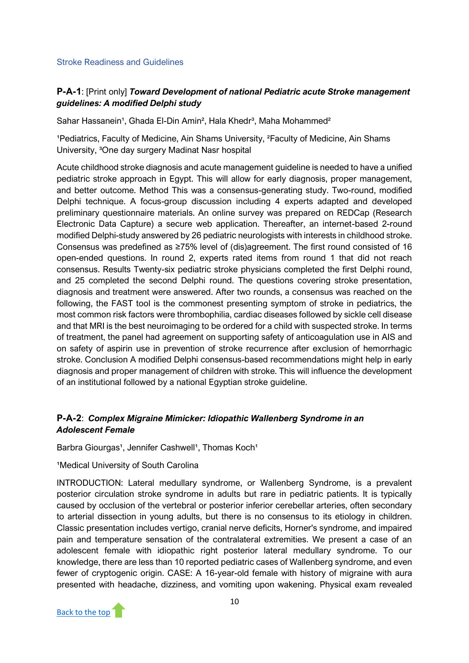#### <span id="page-11-0"></span>Stroke Readiness and Guidelines

# **P-A-1**: [Print only] *Toward Development of national Pediatric acute Stroke management guidelines: A modified Delphi study*

Sahar Hassanein<sup>1</sup>, Ghada El-Din Amin<sup>2</sup>, Hala Khedr<sup>3</sup>, Maha Mohammed<sup>2</sup>

<sup>1</sup>Pediatrics, Faculty of Medicine, Ain Shams University, <sup>2</sup>Faculty of Medicine, Ain Shams University, <sup>3</sup>One day surgery Madinat Nasr hospital

Acute childhood stroke diagnosis and acute management guideline is needed to have a unified pediatric stroke approach in Egypt. This will allow for early diagnosis, proper management, and better outcome. Method This was a consensus-generating study. Two-round, modified Delphi technique. A focus-group discussion including 4 experts adapted and developed preliminary questionnaire materials. An online survey was prepared on REDCap (Research Electronic Data Capture) a secure web application. Thereafter, an internet-based 2-round modified Delphi-study answered by 26 pediatric neurologists with interests in childhood stroke. Consensus was predefined as ≥75% level of (dis)agreement. The first round consisted of 16 open-ended questions. In round 2, experts rated items from round 1 that did not reach consensus. Results Twenty-six pediatric stroke physicians completed the first Delphi round, and 25 completed the second Delphi round. The questions covering stroke presentation, diagnosis and treatment were answered. After two rounds, a consensus was reached on the following, the FAST tool is the commonest presenting symptom of stroke in pediatrics, the most common risk factors were thrombophilia, cardiac diseases followed by sickle cell disease and that MRI is the best neuroimaging to be ordered for a child with suspected stroke. In terms of treatment, the panel had agreement on supporting safety of anticoagulation use in AIS and on safety of aspirin use in prevention of stroke recurrence after exclusion of hemorrhagic stroke. Conclusion A modified Delphi consensus-based recommendations might help in early diagnosis and proper management of children with stroke. This will influence the development of an institutional followed by a national Egyptian stroke guideline.

# **P-A-2**: *Complex Migraine Mimicker: Idiopathic Wallenberg Syndrome in an Adolescent Female*

Barbra Giourgas<sup>1</sup>, Jennifer Cashwell<sup>1</sup>, Thomas Koch<sup>1</sup>

#### <sup>1</sup>Medical University of South Carolina

INTRODUCTION: Lateral medullary syndrome, or Wallenberg Syndrome, is a prevalent posterior circulation stroke syndrome in adults but rare in pediatric patients. It is typically caused by occlusion of the vertebral or posterior inferior cerebellar arteries, often secondary to arterial dissection in young adults, but there is no consensus to its etiology in children. Classic presentation includes vertigo, cranial nerve deficits, Horner's syndrome, and impaired pain and temperature sensation of the contralateral extremities. We present a case of an adolescent female with idiopathic right posterior lateral medullary syndrome. To our knowledge, there are less than 10 reported pediatric cases of Wallenberg syndrome, and even fewer of cryptogenic origin. CASE: A 16-year-old female with history of migraine with aura presented with headache, dizziness, and vomiting upon wakening. Physical exam revealed

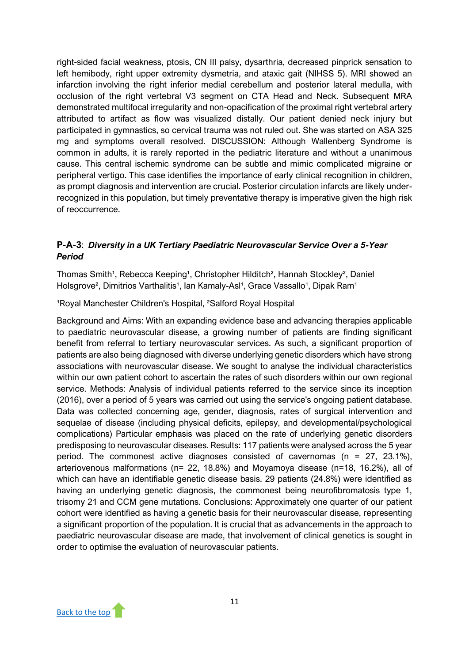right-sided facial weakness, ptosis, CN III palsy, dysarthria, decreased pinprick sensation to left hemibody, right upper extremity dysmetria, and ataxic gait (NIHSS 5). MRI showed an infarction involving the right inferior medial cerebellum and posterior lateral medulla, with occlusion of the right vertebral V3 segment on CTA Head and Neck. Subsequent MRA demonstrated multifocal irregularity and non-opacification of the proximal right vertebral artery attributed to artifact as flow was visualized distally. Our patient denied neck injury but participated in gymnastics, so cervical trauma was not ruled out. She was started on ASA 325 mg and symptoms overall resolved. DISCUSSION: Although Wallenberg Syndrome is common in adults, it is rarely reported in the pediatric literature and without a unanimous cause. This central ischemic syndrome can be subtle and mimic complicated migraine or peripheral vertigo. This case identifies the importance of early clinical recognition in children, as prompt diagnosis and intervention are crucial. Posterior circulation infarcts are likely underrecognized in this population, but timely preventative therapy is imperative given the high risk of reoccurrence.

# **P-A-3**: *Diversity in a UK Tertiary Paediatric Neurovascular Service Over a 5-Year Period*

Thomas Smith<sup>1</sup>, Rebecca Keeping<sup>1</sup>, Christopher Hilditch<sup>2</sup>, Hannah Stockley<sup>2</sup>, Daniel Holsgrove<sup>2</sup>, Dimitrios Varthalitis<sup>1</sup>, Ian Kamaly-Asl<sup>1</sup>, Grace Vassallo<sup>1</sup>, Dipak Ram<sup>1</sup>

<sup>1</sup>Royal Manchester Children's Hospital, <sup>2</sup>Salford Royal Hospital

Background and Aims: With an expanding evidence base and advancing therapies applicable to paediatric neurovascular disease, a growing number of patients are finding significant benefit from referral to tertiary neurovascular services. As such, a significant proportion of patients are also being diagnosed with diverse underlying genetic disorders which have strong associations with neurovascular disease. We sought to analyse the individual characteristics within our own patient cohort to ascertain the rates of such disorders within our own regional service. Methods: Analysis of individual patients referred to the service since its inception (2016), over a period of 5 years was carried out using the service's ongoing patient database. Data was collected concerning age, gender, diagnosis, rates of surgical intervention and sequelae of disease (including physical deficits, epilepsy, and developmental/psychological complications) Particular emphasis was placed on the rate of underlying genetic disorders predisposing to neurovascular diseases. Results: 117 patients were analysed across the 5 year period. The commonest active diagnoses consisted of cavernomas (n = 27, 23.1%), arteriovenous malformations (n= 22, 18.8%) and Moyamoya disease (n=18, 16.2%), all of which can have an identifiable genetic disease basis. 29 patients (24.8%) were identified as having an underlying genetic diagnosis, the commonest being neurofibromatosis type 1, trisomy 21 and CCM gene mutations. Conclusions: Approximately one quarter of our patient cohort were identified as having a genetic basis for their neurovascular disease, representing a significant proportion of the population. It is crucial that as advancements in the approach to paediatric neurovascular disease are made, that involvement of clinical genetics is sought in order to optimise the evaluation of neurovascular patients.

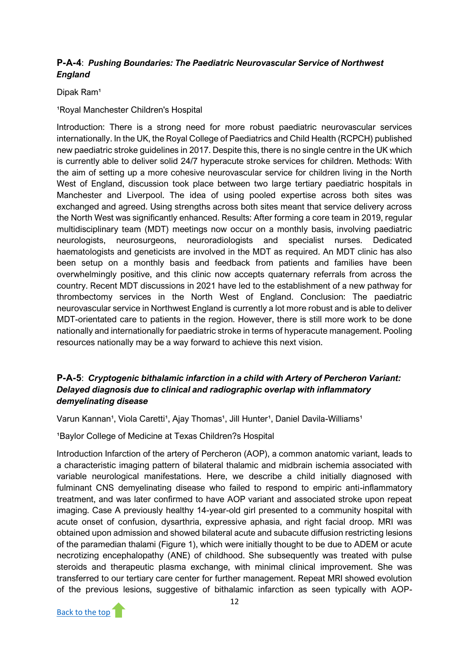# **P-A-4**: *Pushing Boundaries: The Paediatric Neurovascular Service of Northwest England*

Dipak Ram<sup>1</sup>

<sup>1</sup>Royal Manchester Children's Hospital

Introduction: There is a strong need for more robust paediatric neurovascular services internationally. In the UK, the Royal College of Paediatrics and Child Health (RCPCH) published new paediatric stroke guidelines in 2017. Despite this, there is no single centre in the UK which is currently able to deliver solid 24/7 hyperacute stroke services for children. Methods: With the aim of setting up a more cohesive neurovascular service for children living in the North West of England, discussion took place between two large tertiary paediatric hospitals in Manchester and Liverpool. The idea of using pooled expertise across both sites was exchanged and agreed. Using strengths across both sites meant that service delivery across the North West was significantly enhanced. Results: After forming a core team in 2019, regular multidisciplinary team (MDT) meetings now occur on a monthly basis, involving paediatric neurologists, neurosurgeons, neuroradiologists and specialist nurses. Dedicated haematologists and geneticists are involved in the MDT as required. An MDT clinic has also been setup on a monthly basis and feedback from patients and families have been overwhelmingly positive, and this clinic now accepts quaternary referrals from across the country. Recent MDT discussions in 2021 have led to the establishment of a new pathway for thrombectomy services in the North West of England. Conclusion: The paediatric neurovascular service in Northwest England is currently a lot more robust and is able to deliver MDT-orientated care to patients in the region. However, there is still more work to be done nationally and internationally for paediatric stroke in terms of hyperacute management. Pooling resources nationally may be a way forward to achieve this next vision.

# **P-A-5**: *Cryptogenic bithalamic infarction in a child with Artery of Percheron Variant: Delayed diagnosis due to clinical and radiographic overlap with inflammatory demyelinating disease*

Varun Kannan<sup>1</sup>, Viola Caretti<sup>1</sup>, Ajay Thomas<sup>1</sup>, Jill Hunter<sup>1</sup>, Daniel Davila-Williams<sup>1</sup>

<sup>1</sup>Baylor College of Medicine at Texas Children?s Hospital

Introduction Infarction of the artery of Percheron (AOP), a common anatomic variant, leads to a characteristic imaging pattern of bilateral thalamic and midbrain ischemia associated with variable neurological manifestations. Here, we describe a child initially diagnosed with fulminant CNS demyelinating disease who failed to respond to empiric anti-inflammatory treatment, and was later confirmed to have AOP variant and associated stroke upon repeat imaging. Case A previously healthy 14-year-old girl presented to a community hospital with acute onset of confusion, dysarthria, expressive aphasia, and right facial droop. MRI was obtained upon admission and showed bilateral acute and subacute diffusion restricting lesions of the paramedian thalami (Figure 1), which were initially thought to be due to ADEM or acute necrotizing encephalopathy (ANE) of childhood. She subsequently was treated with pulse steroids and therapeutic plasma exchange, with minimal clinical improvement. She was transferred to our tertiary care center for further management. Repeat MRI showed evolution of the previous lesions, suggestive of bithalamic infarction as seen typically with AOP-

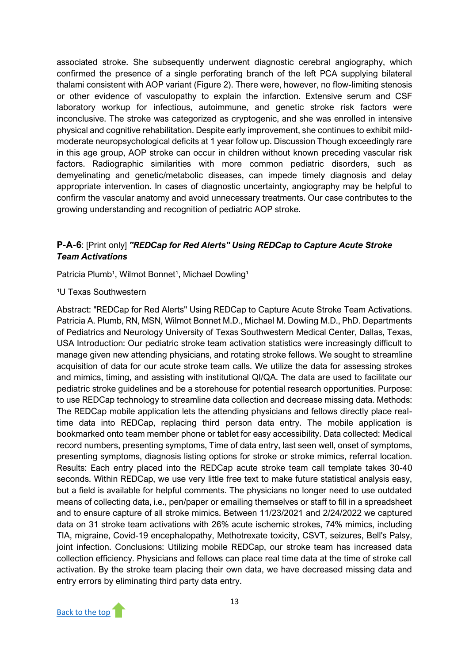associated stroke. She subsequently underwent diagnostic cerebral angiography, which confirmed the presence of a single perforating branch of the left PCA supplying bilateral thalami consistent with AOP variant (Figure 2). There were, however, no flow-limiting stenosis or other evidence of vasculopathy to explain the infarction. Extensive serum and CSF laboratory workup for infectious, autoimmune, and genetic stroke risk factors were inconclusive. The stroke was categorized as cryptogenic, and she was enrolled in intensive physical and cognitive rehabilitation. Despite early improvement, she continues to exhibit mildmoderate neuropsychological deficits at 1 year follow up. Discussion Though exceedingly rare in this age group, AOP stroke can occur in children without known preceding vascular risk factors. Radiographic similarities with more common pediatric disorders, such as demyelinating and genetic/metabolic diseases, can impede timely diagnosis and delay appropriate intervention. In cases of diagnostic uncertainty, angiography may be helpful to confirm the vascular anatomy and avoid unnecessary treatments. Our case contributes to the growing understanding and recognition of pediatric AOP stroke.

# **P-A-6**: [Print only] *"REDCap for Red Alerts" Using REDCap to Capture Acute Stroke Team Activations*

Patricia Plumb<sup>1</sup>, Wilmot Bonnet<sup>1</sup>, Michael Dowling<sup>1</sup>

#### <sup>1</sup>U Texas Southwestern

Abstract: "REDCap for Red Alerts" Using REDCap to Capture Acute Stroke Team Activations. Patricia A. Plumb, RN, MSN, Wilmot Bonnet M.D., Michael M. Dowling M.D., PhD. Departments of Pediatrics and Neurology University of Texas Southwestern Medical Center, Dallas, Texas, USA Introduction: Our pediatric stroke team activation statistics were increasingly difficult to manage given new attending physicians, and rotating stroke fellows. We sought to streamline acquisition of data for our acute stroke team calls. We utilize the data for assessing strokes and mimics, timing, and assisting with institutional QI/QA. The data are used to facilitate our pediatric stroke guidelines and be a storehouse for potential research opportunities. Purpose: to use REDCap technology to streamline data collection and decrease missing data. Methods: The REDCap mobile application lets the attending physicians and fellows directly place realtime data into REDCap, replacing third person data entry. The mobile application is bookmarked onto team member phone or tablet for easy accessibility. Data collected: Medical record numbers, presenting symptoms, Time of data entry, last seen well, onset of symptoms, presenting symptoms, diagnosis listing options for stroke or stroke mimics, referral location. Results: Each entry placed into the REDCap acute stroke team call template takes 30-40 seconds. Within REDCap, we use very little free text to make future statistical analysis easy, but a field is available for helpful comments. The physicians no longer need to use outdated means of collecting data, i.e., pen/paper or emailing themselves or staff to fill in a spreadsheet and to ensure capture of all stroke mimics. Between 11/23/2021 and 2/24/2022 we captured data on 31 stroke team activations with 26% acute ischemic strokes, 74% mimics, including TIA, migraine, Covid-19 encephalopathy, Methotrexate toxicity, CSVT, seizures, Bell's Palsy, joint infection. Conclusions: Utilizing mobile REDCap, our stroke team has increased data collection efficiency. Physicians and fellows can place real time data at the time of stroke call activation. By the stroke team placing their own data, we have decreased missing data and entry errors by eliminating third party data entry.

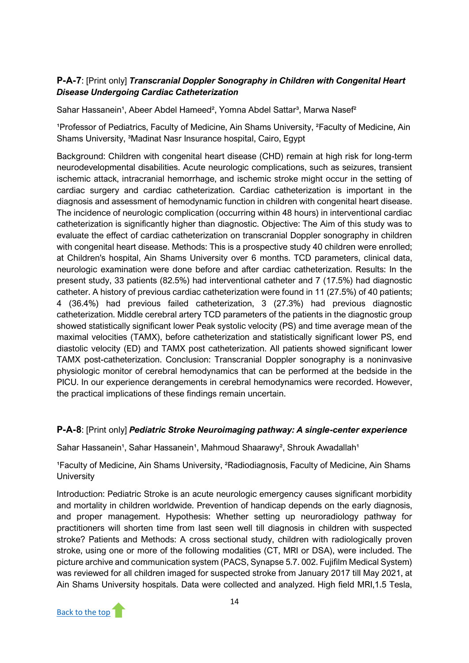# **P-A-7**: [Print only] *Transcranial Doppler Sonography in Children with Congenital Heart Disease Undergoing Cardiac Catheterization*

Sahar Hassanein<sup>1</sup>, Abeer Abdel Hameed<sup>2</sup>, Yomna Abdel Sattar<sup>3</sup>, Marwa Nasef<sup>2</sup>

<sup>1</sup>Professor of Pediatrics, Faculty of Medicine, Ain Shams University, <sup>2</sup>Faculty of Medicine, Ain Shams University, <sup>3</sup>Madinat Nasr Insurance hospital, Cairo, Egypt

Background: Children with congenital heart disease (CHD) remain at high risk for long-term neurodevelopmental disabilities. Acute neurologic complications, such as seizures, transient ischemic attack, intracranial hemorrhage, and ischemic stroke might occur in the setting of cardiac surgery and cardiac catheterization. Cardiac catheterization is important in the diagnosis and assessment of hemodynamic function in children with congenital heart disease. The incidence of neurologic complication (occurring within 48 hours) in interventional cardiac catheterization is significantly higher than diagnostic. Objective: The Aim of this study was to evaluate the effect of cardiac catheterization on transcranial Doppler sonography in children with congenital heart disease. Methods: This is a prospective study 40 children were enrolled; at Children's hospital, Ain Shams University over 6 months. TCD parameters, clinical data, neurologic examination were done before and after cardiac catheterization. Results: In the present study, 33 patients (82.5%) had interventional catheter and 7 (17.5%) had diagnostic catheter. A history of previous cardiac catheterization were found in 11 (27.5%) of 40 patients; 4 (36.4%) had previous failed catheterization, 3 (27.3%) had previous diagnostic catheterization. Middle cerebral artery TCD parameters of the patients in the diagnostic group showed statistically significant lower Peak systolic velocity (PS) and time average mean of the maximal velocities (TAMX), before catheterization and statistically significant lower PS, end diastolic velocity (ED) and TAMX post catheterization. All patients showed significant lower TAMX post-catheterization. Conclusion: Transcranial Doppler sonography is a noninvasive physiologic monitor of cerebral hemodynamics that can be performed at the bedside in the PICU. In our experience derangements in cerebral hemodynamics were recorded. However, the practical implications of these findings remain uncertain.

# **P-A-8**: [Print only] *Pediatric Stroke Neuroimaging pathway: A single-center experience*

Sahar Hassanein<sup>1</sup>, Sahar Hassanein<sup>1</sup>, Mahmoud Shaarawy<sup>2</sup>, Shrouk Awadallah<sup>1</sup>

<sup>1</sup>Faculty of Medicine, Ain Shams University, <sup>2</sup>Radiodiagnosis, Faculty of Medicine, Ain Shams **University** 

Introduction: Pediatric Stroke is an acute neurologic emergency causes significant morbidity and mortality in children worldwide. Prevention of handicap depends on the early diagnosis, and proper management. Hypothesis: Whether setting up neuroradiology pathway for practitioners will shorten time from last seen well till diagnosis in children with suspected stroke? Patients and Methods: A cross sectional study, children with radiologically proven stroke, using one or more of the following modalities (CT, MRI or DSA), were included. The picture archive and communication system (PACS, Synapse 5.7. 002. Fujifilm Medical System) was reviewed for all children imaged for suspected stroke from January 2017 till May 2021, at Ain Shams University hospitals. Data were collected and analyzed. High field MRI,1.5 Tesla,

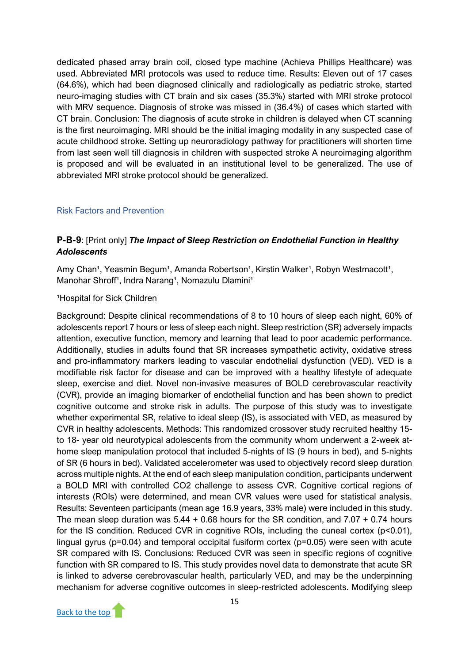dedicated phased array brain coil, closed type machine (Achieva Phillips Healthcare) was used. Abbreviated MRI protocols was used to reduce time. Results: Eleven out of 17 cases (64.6%), which had been diagnosed clinically and radiologically as pediatric stroke, started neuro-imaging studies with CT brain and six cases (35.3%) started with MRI stroke protocol with MRV sequence. Diagnosis of stroke was missed in (36.4%) of cases which started with CT brain. Conclusion: The diagnosis of acute stroke in children is delayed when CT scanning is the first neuroimaging. MRI should be the initial imaging modality in any suspected case of acute childhood stroke. Setting up neuroradiology pathway for practitioners will shorten time from last seen well till diagnosis in children with suspected stroke A neuroimaging algorithm is proposed and will be evaluated in an institutional level to be generalized. The use of abbreviated MRI stroke protocol should be generalized.

#### <span id="page-16-0"></span>Risk Factors and Prevention

# **P-B-9**: [Print only] *The Impact of Sleep Restriction on Endothelial Function in Healthy Adolescents*

Amy Chan<sup>1</sup>, Yeasmin Begum<sup>1</sup>, Amanda Robertson<sup>1</sup>, Kirstin Walker<sup>1</sup>, Robyn Westmacott<sup>1</sup>, Manohar Shroff<sup>1</sup>, Indra Narang<sup>1</sup>, Nomazulu Dlamini<sup>1</sup>

#### <sup>1</sup>Hospital for Sick Children

Background: Despite clinical recommendations of 8 to 10 hours of sleep each night, 60% of adolescents report 7 hours or less of sleep each night. Sleep restriction (SR) adversely impacts attention, executive function, memory and learning that lead to poor academic performance. Additionally, studies in adults found that SR increases sympathetic activity, oxidative stress and pro-inflammatory markers leading to vascular endothelial dysfunction (VED). VED is a modifiable risk factor for disease and can be improved with a healthy lifestyle of adequate sleep, exercise and diet. Novel non-invasive measures of BOLD cerebrovascular reactivity (CVR), provide an imaging biomarker of endothelial function and has been shown to predict cognitive outcome and stroke risk in adults. The purpose of this study was to investigate whether experimental SR, relative to ideal sleep (IS), is associated with VED, as measured by CVR in healthy adolescents. Methods: This randomized crossover study recruited healthy 15 to 18- year old neurotypical adolescents from the community whom underwent a 2-week athome sleep manipulation protocol that included 5-nights of IS (9 hours in bed), and 5-nights of SR (6 hours in bed). Validated accelerometer was used to objectively record sleep duration across multiple nights. At the end of each sleep manipulation condition, participants underwent a BOLD MRI with controlled CO2 challenge to assess CVR. Cognitive cortical regions of interests (ROIs) were determined, and mean CVR values were used for statistical analysis. Results: Seventeen participants (mean age 16.9 years, 33% male) were included in this study. The mean sleep duration was 5.44 + 0.68 hours for the SR condition, and 7.07 + 0.74 hours for the IS condition. Reduced CVR in cognitive ROIs, including the cuneal cortex (p<0.01), lingual gyrus (p=0.04) and temporal occipital fusiform cortex (p=0.05) were seen with acute SR compared with IS. Conclusions: Reduced CVR was seen in specific regions of cognitive function with SR compared to IS. This study provides novel data to demonstrate that acute SR is linked to adverse cerebrovascular health, particularly VED, and may be the underpinning mechanism for adverse cognitive outcomes in sleep-restricted adolescents. Modifying sleep

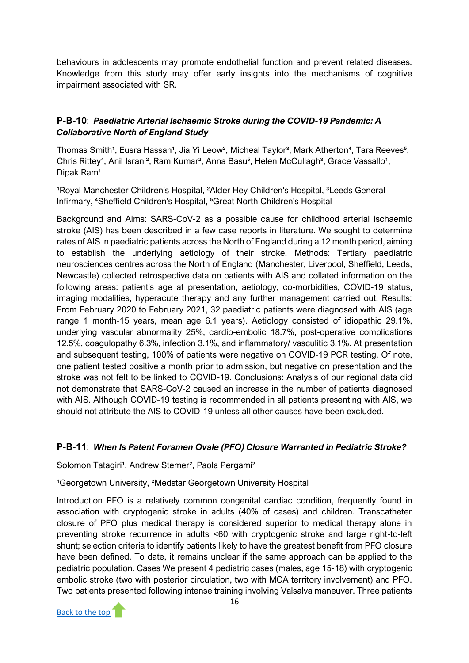behaviours in adolescents may promote endothelial function and prevent related diseases. Knowledge from this study may offer early insights into the mechanisms of cognitive impairment associated with SR.

# **P-B-10**: *Paediatric Arterial Ischaemic Stroke during the COVID-19 Pandemic: A Collaborative North of England Study*

Thomas Smith<sup>1</sup>, Eusra Hassan<sup>1</sup>, Jia Yi Leow<sup>2</sup>, Micheal Taylor<sup>3</sup>, Mark Atherton<sup>4</sup>, Tara Reeves<sup>5</sup>, Chris Rittey<sup>4</sup>, Anil Israni<sup>2</sup>, Ram Kumar<sup>2</sup>, Anna Basu<sup>5</sup>, Helen McCullagh<sup>3</sup>, Grace Vassallo<sup>1</sup>, Dipak Ram<sup>1</sup>

<sup>1</sup>Royal Manchester Children's Hospital, <sup>2</sup>Alder Hey Children's Hospital, <sup>3</sup>Leeds General Infirmary, <sup>4</sup>Sheffield Children's Hospital, <sup>5</sup>Great North Children's Hospital

Background and Aims: SARS-CoV-2 as a possible cause for childhood arterial ischaemic stroke (AIS) has been described in a few case reports in literature. We sought to determine rates of AIS in paediatric patients across the North of England during a 12 month period, aiming to establish the underlying aetiology of their stroke. Methods: Tertiary paediatric neurosciences centres across the North of England (Manchester, Liverpool, Sheffield, Leeds, Newcastle) collected retrospective data on patients with AIS and collated information on the following areas: patient's age at presentation, aetiology, co-morbidities, COVID-19 status, imaging modalities, hyperacute therapy and any further management carried out. Results: From February 2020 to February 2021, 32 paediatric patients were diagnosed with AIS (age range 1 month-15 years, mean age 6.1 years). Aetiology consisted of idiopathic 29.1%, underlying vascular abnormality 25%, cardio-embolic 18.7%, post-operative complications 12.5%, coagulopathy 6.3%, infection 3.1%, and inflammatory/ vasculitic 3.1%. At presentation and subsequent testing, 100% of patients were negative on COVID-19 PCR testing. Of note, one patient tested positive a month prior to admission, but negative on presentation and the stroke was not felt to be linked to COVID-19. Conclusions: Analysis of our regional data did not demonstrate that SARS-CoV-2 caused an increase in the number of patients diagnosed with AIS. Although COVID-19 testing is recommended in all patients presenting with AIS, we should not attribute the AIS to COVID-19 unless all other causes have been excluded.

# **P-B-11**: *When Is Patent Foramen Ovale (PFO) Closure Warranted in Pediatric Stroke?*

Solomon Tatagiri<sup>1</sup>, Andrew Stemer<sup>2</sup>, Paola Pergami<sup>2</sup>

# <sup>1</sup>Georgetown University, <sup>2</sup>Medstar Georgetown University Hospital

Introduction PFO is a relatively common congenital cardiac condition, frequently found in association with cryptogenic stroke in adults (40% of cases) and children. Transcatheter closure of PFO plus medical therapy is considered superior to medical therapy alone in preventing stroke recurrence in adults <60 with cryptogenic stroke and large right-to-left shunt; selection criteria to identify patients likely to have the greatest benefit from PFO closure have been defined. To date, it remains unclear if the same approach can be applied to the pediatric population. Cases We present 4 pediatric cases (males, age 15-18) with cryptogenic embolic stroke (two with posterior circulation, two with MCA territory involvement) and PFO. Two patients presented following intense training involving Valsalva maneuver. Three patients

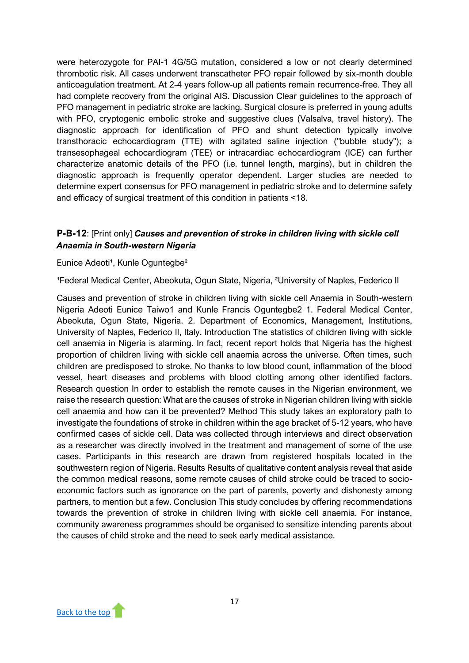were heterozygote for PAI-1 4G/5G mutation, considered a low or not clearly determined thrombotic risk. All cases underwent transcatheter PFO repair followed by six-month double anticoagulation treatment. At 2-4 years follow-up all patients remain recurrence-free. They all had complete recovery from the original AIS. Discussion Clear guidelines to the approach of PFO management in pediatric stroke are lacking. Surgical closure is preferred in young adults with PFO, cryptogenic embolic stroke and suggestive clues (Valsalva, travel history). The diagnostic approach for identification of PFO and shunt detection typically involve transthoracic echocardiogram (TTE) with agitated saline injection ("bubble study"); a transesophageal echocardiogram (TEE) or intracardiac echocardiogram (ICE) can further characterize anatomic details of the PFO (i.e. tunnel length, margins), but in children the diagnostic approach is frequently operator dependent. Larger studies are needed to determine expert consensus for PFO management in pediatric stroke and to determine safety and efficacy of surgical treatment of this condition in patients <18.

# **P-B-12**: [Print only] *Causes and prevention of stroke in children living with sickle cell Anaemia in South-western Nigeria*

#### Eunice Adeoti<sup>1</sup>, Kunle Oguntegbe<sup>2</sup>

<sup>1</sup>Federal Medical Center, Abeokuta, Ogun State, Nigeria, <sup>2</sup>University of Naples, Federico II

Causes and prevention of stroke in children living with sickle cell Anaemia in South-western Nigeria Adeoti Eunice Taiwo1 and Kunle Francis Oguntegbe2 1. Federal Medical Center, Abeokuta, Ogun State, Nigeria. 2. Department of Economics, Management, Institutions, University of Naples, Federico II, Italy. Introduction The statistics of children living with sickle cell anaemia in Nigeria is alarming. In fact, recent report holds that Nigeria has the highest proportion of children living with sickle cell anaemia across the universe. Often times, such children are predisposed to stroke. No thanks to low blood count, inflammation of the blood vessel, heart diseases and problems with blood clotting among other identified factors. Research question In order to establish the remote causes in the Nigerian environment, we raise the research question: What are the causes of stroke in Nigerian children living with sickle cell anaemia and how can it be prevented? Method This study takes an exploratory path to investigate the foundations of stroke in children within the age bracket of 5-12 years, who have confirmed cases of sickle cell. Data was collected through interviews and direct observation as a researcher was directly involved in the treatment and management of some of the use cases. Participants in this research are drawn from registered hospitals located in the southwestern region of Nigeria. Results Results of qualitative content analysis reveal that aside the common medical reasons, some remote causes of child stroke could be traced to socioeconomic factors such as ignorance on the part of parents, poverty and dishonesty among partners, to mention but a few. Conclusion This study concludes by offering recommendations towards the prevention of stroke in children living with sickle cell anaemia. For instance, community awareness programmes should be organised to sensitize intending parents about the causes of child stroke and the need to seek early medical assistance.

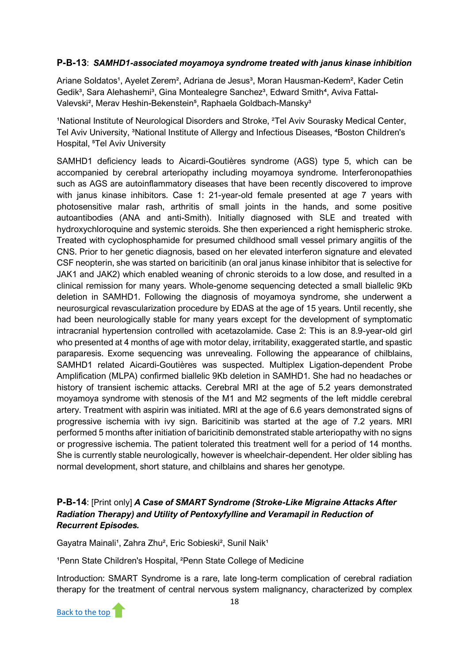# **P-B-13**: *SAMHD1-associated moyamoya syndrome treated with janus kinase inhibition*

Ariane Soldatos<sup>1</sup>, Ayelet Zerem<sup>2</sup>, Adriana de Jesus<sup>3</sup>, Moran Hausman-Kedem<sup>2</sup>, Kader Cetin Gedik<sup>3</sup>, Sara Alehashemi<sup>3</sup>, Gina Montealegre Sanchez<sup>3</sup>, Edward Smith<sup>4</sup>, Aviva Fattal-Valevski<sup>2</sup>, Merav Heshin-Bekenstein<sup>5</sup>, Raphaela Goldbach-Mansky<sup>3</sup>

<sup>1</sup>National Institute of Neurological Disorders and Stroke, <sup>2</sup>Tel Aviv Sourasky Medical Center, Tel Aviv University, <sup>3</sup>National Institute of Allergy and Infectious Diseases, <sup>4</sup>Boston Children's Hospital, <sup>5</sup>Tel Aviv University

SAMHD1 deficiency leads to Aicardi-Goutières syndrome (AGS) type 5, which can be accompanied by cerebral arteriopathy including moyamoya syndrome. Interferonopathies such as AGS are autoinflammatory diseases that have been recently discovered to improve with janus kinase inhibitors. Case 1: 21-year-old female presented at age 7 years with photosensitive malar rash, arthritis of small joints in the hands, and some positive autoantibodies (ANA and anti-Smith). Initially diagnosed with SLE and treated with hydroxychloroquine and systemic steroids. She then experienced a right hemispheric stroke. Treated with cyclophosphamide for presumed childhood small vessel primary angiitis of the CNS. Prior to her genetic diagnosis, based on her elevated interferon signature and elevated CSF neopterin, she was started on baricitinib (an oral janus kinase inhibitor that is selective for JAK1 and JAK2) which enabled weaning of chronic steroids to a low dose, and resulted in a clinical remission for many years. Whole-genome sequencing detected a small biallelic 9Kb deletion in SAMHD1. Following the diagnosis of moyamoya syndrome, she underwent a neurosurgical revascularization procedure by EDAS at the age of 15 years. Until recently, she had been neurologically stable for many years except for the development of symptomatic intracranial hypertension controlled with acetazolamide. Case 2: This is an 8.9-year-old girl who presented at 4 months of age with motor delay, irritability, exaggerated startle, and spastic paraparesis. Exome sequencing was unrevealing. Following the appearance of chilblains, SAMHD1 related Aicardi-Goutières was suspected. Multiplex Ligation-dependent Probe Amplification (MLPA) confirmed biallelic 9Kb deletion in SAMHD1. She had no headaches or history of transient ischemic attacks. Cerebral MRI at the age of 5.2 years demonstrated moyamoya syndrome with stenosis of the M1 and M2 segments of the left middle cerebral artery. Treatment with aspirin was initiated. MRI at the age of 6.6 years demonstrated signs of progressive ischemia with ivy sign. Baricitinib was started at the age of 7.2 years. MRI performed 5 months after initiation of baricitinib demonstrated stable arteriopathy with no signs or progressive ischemia. The patient tolerated this treatment well for a period of 14 months. She is currently stable neurologically, however is wheelchair-dependent. Her older sibling has normal development, short stature, and chilblains and shares her genotype.

# **P-B-14**: [Print only] *A Case of SMART Syndrome (Stroke-Like Migraine Attacks After Radiation Therapy) and Utility of Pentoxyfylline and Veramapil in Reduction of Recurrent Episodes.*

Gayatra Mainali<sup>1</sup>, Zahra Zhu<sup>2</sup>, Eric Sobieski<sup>2</sup>, Sunil Naik<sup>1</sup>

<sup>1</sup>Penn State Children's Hospital, <sup>2</sup>Penn State College of Medicine

Introduction: SMART Syndrome is a rare, late long-term complication of cerebral radiation therapy for the treatment of central nervous system malignancy, characterized by complex

[Back to the top](#page-2-0)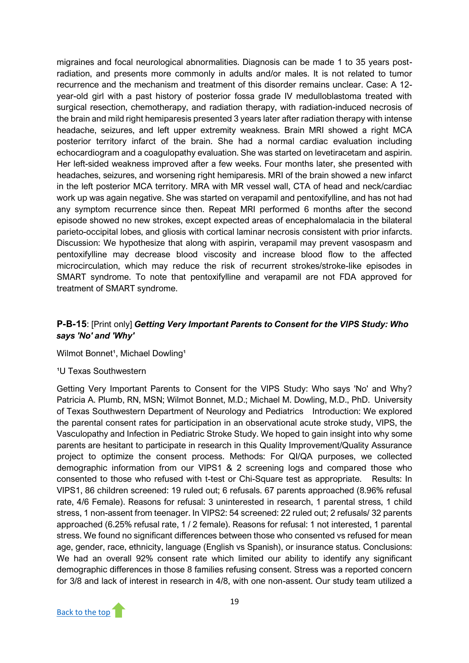migraines and focal neurological abnormalities. Diagnosis can be made 1 to 35 years postradiation, and presents more commonly in adults and/or males. It is not related to tumor recurrence and the mechanism and treatment of this disorder remains unclear. Case: A 12 year-old girl with a past history of posterior fossa grade IV medulloblastoma treated with surgical resection, chemotherapy, and radiation therapy, with radiation-induced necrosis of the brain and mild right hemiparesis presented 3 years later after radiation therapy with intense headache, seizures, and left upper extremity weakness. Brain MRI showed a right MCA posterior territory infarct of the brain. She had a normal cardiac evaluation including echocardiogram and a coagulopathy evaluation. She was started on levetiracetam and aspirin. Her left-sided weakness improved after a few weeks. Four months later, she presented with headaches, seizures, and worsening right hemiparesis. MRI of the brain showed a new infarct in the left posterior MCA territory. MRA with MR vessel wall, CTA of head and neck/cardiac work up was again negative. She was started on verapamil and pentoxifylline, and has not had any symptom recurrence since then. Repeat MRI performed 6 months after the second episode showed no new strokes, except expected areas of encephalomalacia in the bilateral parieto-occipital lobes, and gliosis with cortical laminar necrosis consistent with prior infarcts. Discussion: We hypothesize that along with aspirin, verapamil may prevent vasospasm and pentoxifylline may decrease blood viscosity and increase blood flow to the affected microcirculation, which may reduce the risk of recurrent strokes/stroke-like episodes in SMART syndrome. To note that pentoxifylline and verapamil are not FDA approved for treatment of SMART syndrome.

# **P-B-15**: [Print only] *Getting Very Important Parents to Consent for the VIPS Study: Who says 'No' and 'Why'*

#### Wilmot Bonnet<sup>1</sup>, Michael Dowling<sup>1</sup>

#### <sup>1</sup>U Texas Southwestern

Getting Very Important Parents to Consent for the VIPS Study: Who says 'No' and Why? Patricia A. Plumb, RN, MSN; Wilmot Bonnet, M.D.; Michael M. Dowling, M.D., PhD. University of Texas Southwestern Department of Neurology and Pediatrics Introduction: We explored the parental consent rates for participation in an observational acute stroke study, VIPS, the Vasculopathy and Infection in Pediatric Stroke Study. We hoped to gain insight into why some parents are hesitant to participate in research in this Quality Improvement/Quality Assurance project to optimize the consent process. Methods: For QI/QA purposes, we collected demographic information from our VIPS1 & 2 screening logs and compared those who consented to those who refused with t-test or Chi-Square test as appropriate.    Results: In VIPS1, 86 children screened: 19 ruled out; 6 refusals. 67 parents approached (8.96% refusal rate, 4/6 Female). Reasons for refusal: 3 uninterested in research, 1 parental stress, 1 child stress, 1 non-assent from teenager. In VIPS2: 54 screened: 22 ruled out; 2 refusals/ 32 parents approached (6.25% refusal rate, 1 / 2 female). Reasons for refusal: 1 not interested, 1 parental stress. We found no significant differences between those who consented vs refused for mean age, gender, race, ethnicity, language (English vs Spanish), or insurance status. Conclusions: We had an overall 92% consent rate which limited our ability to identify any significant demographic differences in those 8 families refusing consent. Stress was a reported concern for 3/8 and lack of interest in research in 4/8, with one non-assent. Our study team utilized a

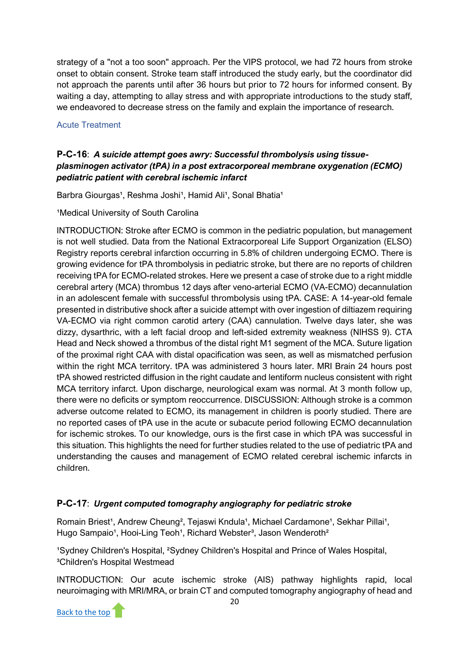strategy of a "not a too soon" approach. Per the VIPS protocol, we had 72 hours from stroke onset to obtain consent. Stroke team staff introduced the study early, but the coordinator did not approach the parents until after 36 hours but prior to 72 hours for informed consent. By waiting a day, attempting to allay stress and with appropriate introductions to the study staff, we endeavored to decrease stress on the family and explain the importance of research.

#### <span id="page-21-0"></span>Acute Treatment

# **P-C-16**: *A suicide attempt goes awry: Successful thrombolysis using tissueplasminogen activator (tPA) in a post extracorporeal membrane oxygenation (ECMO) pediatric patient with cerebral ischemic infarct*

Barbra Giourgas<sup>1</sup>, Reshma Joshi<sup>1</sup>, Hamid Ali<sup>1</sup>, Sonal Bhatia<sup>1</sup>

<sup>1</sup>Medical University of South Carolina

INTRODUCTION: Stroke after ECMO is common in the pediatric population, but management is not well studied. Data from the National Extracorporeal Life Support Organization (ELSO) Registry reports cerebral infarction occurring in 5.8% of children undergoing ECMO. There is growing evidence for tPA thrombolysis in pediatric stroke, but there are no reports of children receiving tPA for ECMO-related strokes. Here we present a case of stroke due to a right middle cerebral artery (MCA) thrombus 12 days after veno-arterial ECMO (VA-ECMO) decannulation in an adolescent female with successful thrombolysis using tPA. CASE: A 14-year-old female presented in distributive shock after a suicide attempt with over ingestion of diltiazem requiring VA-ECMO via right common carotid artery (CAA) cannulation. Twelve days later, she was dizzy, dysarthric, with a left facial droop and left-sided extremity weakness (NIHSS 9). CTA Head and Neck showed a thrombus of the distal right M1 segment of the MCA. Suture ligation of the proximal right CAA with distal opacification was seen, as well as mismatched perfusion within the right MCA territory. tPA was administered 3 hours later. MRI Brain 24 hours post tPA showed restricted diffusion in the right caudate and lentiform nucleus consistent with right MCA territory infarct. Upon discharge, neurological exam was normal. At 3 month follow up, there were no deficits or symptom reoccurrence. DISCUSSION: Although stroke is a common adverse outcome related to ECMO, its management in children is poorly studied. There are no reported cases of tPA use in the acute or subacute period following ECMO decannulation for ischemic strokes. To our knowledge, ours is the first case in which tPA was successful in this situation. This highlights the need for further studies related to the use of pediatric tPA and understanding the causes and management of ECMO related cerebral ischemic infarcts in children.

# **P-C-17**: *Urgent computed tomography angiography for pediatric stroke*

Romain Briest<sup>1</sup>, Andrew Cheung<sup>2</sup>, Tejaswi Kndula<sup>1</sup>, Michael Cardamone<sup>1</sup>, Sekhar Pillai<sup>1</sup>, Hugo Sampaio<sup>1</sup>, Hooi-Ling Teoh<sup>1</sup>, Richard Webster<sup>3</sup>, Jason Wenderoth<sup>2</sup>

<sup>1</sup>Sydney Children's Hospital, <sup>2</sup>Sydney Children's Hospital and Prince of Wales Hospital, <sup>3</sup>Children's Hospital Westmead

INTRODUCTION: Our acute ischemic stroke (AIS) pathway highlights rapid, local neuroimaging with MRI/MRA, or brain CT and computed tomography angiography of head and

[Back to the top](#page-2-0)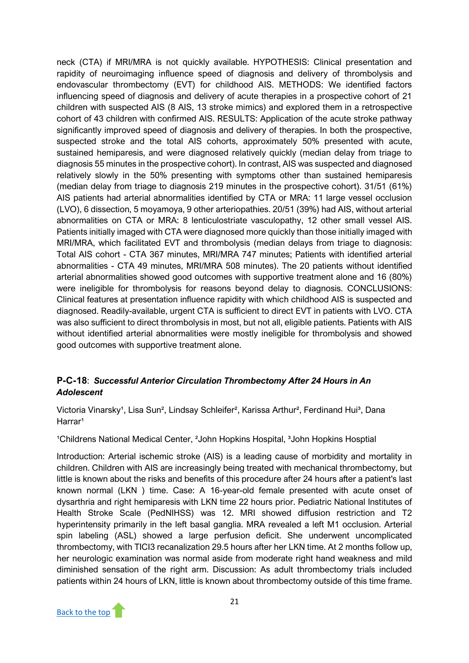neck (CTA) if MRI/MRA is not quickly available. HYPOTHESIS: Clinical presentation and rapidity of neuroimaging influence speed of diagnosis and delivery of thrombolysis and endovascular thrombectomy (EVT) for childhood AIS. METHODS: We identified factors influencing speed of diagnosis and delivery of acute therapies in a prospective cohort of 21 children with suspected AIS (8 AIS, 13 stroke mimics) and explored them in a retrospective cohort of 43 children with confirmed AIS. RESULTS: Application of the acute stroke pathway significantly improved speed of diagnosis and delivery of therapies. In both the prospective, suspected stroke and the total AIS cohorts, approximately 50% presented with acute, sustained hemiparesis, and were diagnosed relatively quickly (median delay from triage to diagnosis 55 minutes in the prospective cohort). In contrast, AIS was suspected and diagnosed relatively slowly in the 50% presenting with symptoms other than sustained hemiparesis (median delay from triage to diagnosis 219 minutes in the prospective cohort). 31/51 (61%) AIS patients had arterial abnormalities identified by CTA or MRA: 11 large vessel occlusion (LVO), 6 dissection, 5 moyamoya, 9 other arteriopathies. 20/51 (39%) had AIS, without arterial abnormalities on CTA or MRA: 8 lenticulostriate vasculopathy, 12 other small vessel AIS. Patients initially imaged with CTA were diagnosed more quickly than those initially imaged with MRI/MRA, which facilitated EVT and thrombolysis (median delays from triage to diagnosis: Total AIS cohort - CTA 367 minutes, MRI/MRA 747 minutes; Patients with identified arterial abnormalities - CTA 49 minutes, MRI/MRA 508 minutes). The 20 patients without identified arterial abnormalities showed good outcomes with supportive treatment alone and 16 (80%) were ineligible for thrombolysis for reasons beyond delay to diagnosis. CONCLUSIONS: Clinical features at presentation influence rapidity with which childhood AIS is suspected and diagnosed. Readily-available, urgent CTA is sufficient to direct EVT in patients with LVO. CTA was also sufficient to direct thrombolysis in most, but not all, eligible patients. Patients with AIS without identified arterial abnormalities were mostly ineligible for thrombolysis and showed good outcomes with supportive treatment alone.

# **P-C-18**: *Successful Anterior Circulation Thrombectomy After 24 Hours in An Adolescent*

Victoria Vinarsky<sup>1</sup>, Lisa Sun<sup>2</sup>, Lindsay Schleifer<sup>2</sup>, Karissa Arthur<sup>2</sup>, Ferdinand Hui<sup>3</sup>, Dana Harrar<sup>1</sup>

<sup>1</sup>Childrens National Medical Center, <sup>2</sup>John Hopkins Hospital, <sup>3</sup>John Hopkins Hosptial

Introduction: Arterial ischemic stroke (AIS) is a leading cause of morbidity and mortality in children. Children with AIS are increasingly being treated with mechanical thrombectomy, but little is known about the risks and benefits of this procedure after 24 hours after a patient's last known normal (LKN ) time. Case: A 16-year-old female presented with acute onset of dysarthria and right hemiparesis with LKN time 22 hours prior. Pediatric National Institutes of Health Stroke Scale (PedNIHSS) was 12. MRI showed diffusion restriction and T2 hyperintensity primarily in the left basal ganglia. MRA revealed a left M1 occlusion. Arterial spin labeling (ASL) showed a large perfusion deficit. She underwent uncomplicated thrombectomy, with TICI3 recanalization 29.5 hours after her LKN time. At 2 months follow up, her neurologic examination was normal aside from moderate right hand weakness and mild diminished sensation of the right arm. Discussion: As adult thrombectomy trials included patients within 24 hours of LKN, little is known about thrombectomy outside of this time frame.

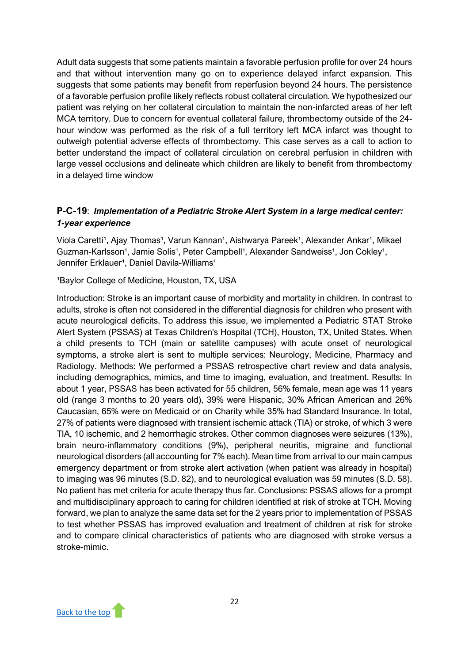Adult data suggests that some patients maintain a favorable perfusion profile for over 24 hours and that without intervention many go on to experience delayed infarct expansion. This suggests that some patients may benefit from reperfusion beyond 24 hours. The persistence of a favorable perfusion profile likely reflects robust collateral circulation. We hypothesized our patient was relying on her collateral circulation to maintain the non-infarcted areas of her left MCA territory. Due to concern for eventual collateral failure, thrombectomy outside of the 24 hour window was performed as the risk of a full territory left MCA infarct was thought to outweigh potential adverse effects of thrombectomy. This case serves as a call to action to better understand the impact of collateral circulation on cerebral perfusion in children with large vessel occlusions and delineate which children are likely to benefit from thrombectomy in a delayed time window

# **P-C-19**: *Implementation of a Pediatric Stroke Alert System in a large medical center: 1-year experience*

Viola Caretti<sup>1</sup>, Ajay Thomas<sup>1</sup>, Varun Kannan<sup>1</sup>, Aishwarya Pareek<sup>1</sup>, Alexander Ankar<sup>1</sup>, Mikael Guzman-Karlsson<sup>1</sup>, Jamie Solís<sup>1</sup>, Peter Campbell<sup>1</sup>, Alexander Sandweiss<sup>1</sup>, Jon Cokley<sup>1</sup>, Jennifer Erklauer<sup>1</sup>, Daniel Davila-Williams<sup>1</sup>

<sup>1</sup>Baylor College of Medicine, Houston, TX, USA

Introduction: Stroke is an important cause of morbidity and mortality in children. In contrast to adults, stroke is often not considered in the differential diagnosis for children who present with acute neurological deficits. To address this issue, we implemented a Pediatric STAT Stroke Alert System (PSSAS) at Texas Children's Hospital (TCH), Houston, TX, United States. When a child presents to TCH (main or satellite campuses) with acute onset of neurological symptoms, a stroke alert is sent to multiple services: Neurology, Medicine, Pharmacy and Radiology. Methods: We performed a PSSAS retrospective chart review and data analysis, including demographics, mimics, and time to imaging, evaluation, and treatment. Results: In about 1 year, PSSAS has been activated for 55 children, 56% female, mean age was 11 years old (range 3 months to 20 years old), 39% were Hispanic, 30% African American and 26% Caucasian, 65% were on Medicaid or on Charity while 35% had Standard Insurance. In total, 27% of patients were diagnosed with transient ischemic attack (TIA) or stroke, of which 3 were TIA, 10 ischemic, and 2 hemorrhagic strokes. Other common diagnoses were seizures (13%), brain neuro-inflammatory conditions (9%), peripheral neuritis, migraine and functional neurological disorders (all accounting for 7% each). Mean time from arrival to our main campus emergency department or from stroke alert activation (when patient was already in hospital) to imaging was 96 minutes (S.D. 82), and to neurological evaluation was 59 minutes (S.D. 58). No patient has met criteria for acute therapy thus far. Conclusions: PSSAS allows for a prompt and multidisciplinary approach to caring for children identified at risk of stroke at TCH. Moving forward, we plan to analyze the same data set for the 2 years prior to implementation of PSSAS to test whether PSSAS has improved evaluation and treatment of children at risk for stroke and to compare clinical characteristics of patients who are diagnosed with stroke versus a stroke-mimic.

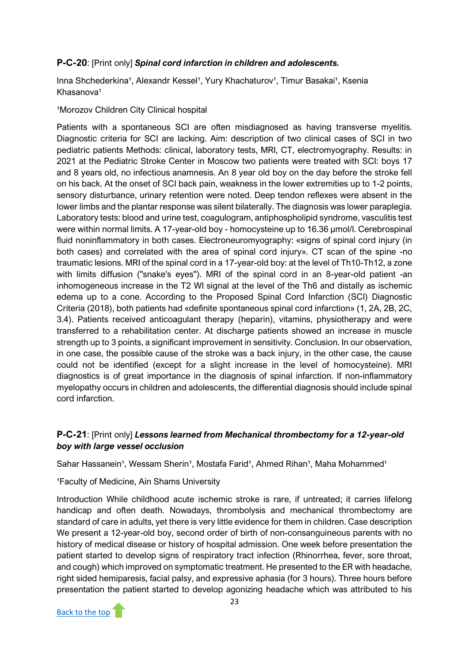# **P-C-20**: [Print only] *Spinal cord infarction in children and adolescents.*

Inna Shchederkina<sup>1</sup>, Alexandr Kessel<sup>1</sup>, Yury Khachaturov<sup>1</sup>, Timur Basakai<sup>1</sup>, Ksenia Khasanova<sup>1</sup>

#### <sup>1</sup>Morozov Children City Clinical hospital

Patients with a spontaneous SCI are often misdiagnosed as having transverse myelitis. Diagnostic criteria for SCI are lacking. Aim: description of two clinical cases of SCI in two pediatric patients Methods: clinical, laboratory tests, MRI, CT, electromyography. Results: in 2021 at the Pediatric Stroke Center in Moscow two patients were treated with SCI: boys 17 and 8 years old, no infectious anamnesis. An 8 year old boy on the day before the stroke fell on his back. At the onset of SCI back pain, weakness in the lower extremities up to 1-2 points, sensory disturbance, urinary retention were noted. Deep tendon reflexes were absent in the lower limbs and the plantar response was silent bilaterally. The diagnosis was lower paraplegia. Laboratory tests: blood and urine test, coagulogram, antiphospholipid syndrome, vasculitis test were within normal limits. A 17-year-old boy - homocysteine up to 16.36 µmol/l. Cerebrospinal fluid noninflammatory in both cases. Electroneuromyography: «signs of spinal cord injury (in both cases) and correlated with the area of spinal cord injury». CT scan of the spine -no traumatic lesions. MRI of the spinal cord in a 17-year-old boy: at the level of Th10-Th12, a zone with limits diffusion ("snake's eyes"). MRI of the spinal cord in an 8-year-old patient -an inhomogeneous increase in the T2 WI signal at the level of the Th6 and distally as ischemic edema up to a cone. According to the Proposed Spinal Cord Infarction (SCI) Diagnostic Criteria (2018), both patients had «definite spontaneous spinal cord infarction» (1, 2A, 2B, 2C, 3.4). Patients received anticoagulant therapy (heparin), vitamins, physiotherapy and were transferred to a rehabilitation center. At discharge patients showed an increase in muscle strength up to 3 points, a significant improvement in sensitivity. Conclusion. In our observation, in one case, the possible cause of the stroke was a back injury, in the other case, the cause could not be identified (except for a slight increase in the level of homocysteine). MRI diagnostics is of great importance in the diagnosis of spinal infarction. If non-inflammatory myelopathy occurs in children and adolescents, the differential diagnosis should include spinal cord infarction.

### **P-C-21**: [Print only] *Lessons learned from Mechanical thrombectomy for a 12-year-old boy with large vessel occlusion*

Sahar Hassanein<sup>1</sup>, Wessam Sherin<sup>1</sup>, Mostafa Farid<sup>1</sup>, Ahmed Rihan<sup>1</sup>, Maha Mohammed<sup>1</sup>

#### <sup>1</sup> Faculty of Medicine, Ain Shams University

Introduction While childhood acute ischemic stroke is rare, if untreated; it carries lifelong handicap and often death. Nowadays, thrombolysis and mechanical thrombectomy are standard of care in adults, yet there is very little evidence for them in children. Case description We present a 12-year-old boy, second order of birth of non-consanguineous parents with no history of medical disease or history of hospital admission. One week before presentation the patient started to develop signs of respiratory tract infection (Rhinorrhea, fever, sore throat, and cough) which improved on symptomatic treatment. He presented to the ER with headache, right sided hemiparesis, facial palsy, and expressive aphasia (for 3 hours). Three hours before presentation the patient started to develop agonizing headache which was attributed to his

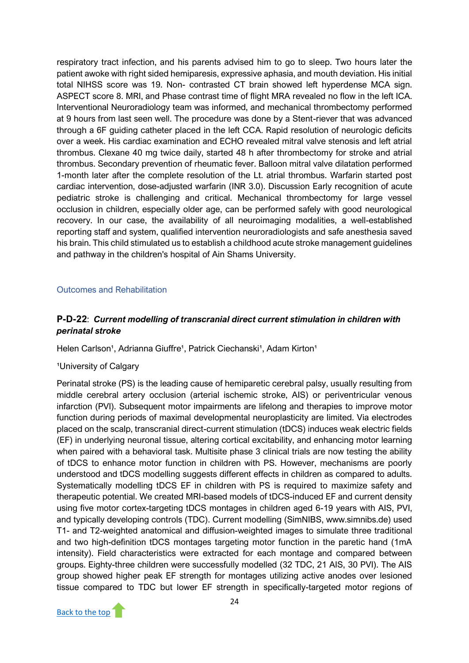respiratory tract infection, and his parents advised him to go to sleep. Two hours later the patient awoke with right sided hemiparesis, expressive aphasia, and mouth deviation. His initial total NIHSS score was 19. Non- contrasted CT brain showed left hyperdense MCA sign. ASPECT score 8. MRI, and Phase contrast time of flight MRA revealed no flow in the left ICA. Interventional Neuroradiology team was informed, and mechanical thrombectomy performed at 9 hours from last seen well. The procedure was done by a Stent-riever that was advanced through a 6F guiding catheter placed in the left CCA. Rapid resolution of neurologic deficits over a week. His cardiac examination and ECHO revealed mitral valve stenosis and left atrial thrombus. Clexane 40 mg twice daily, started 48 h after thrombectomy for stroke and atrial thrombus. Secondary prevention of rheumatic fever. Balloon mitral valve dilatation performed 1-month later after the complete resolution of the Lt. atrial thrombus. Warfarin started post cardiac intervention, dose-adjusted warfarin (INR 3.0). Discussion Early recognition of acute pediatric stroke is challenging and critical. Mechanical thrombectomy for large vessel occlusion in children, especially older age, can be performed safely with good neurological recovery. In our case, the availability of all neuroimaging modalities, a well-established reporting staff and system, qualified intervention neuroradiologists and safe anesthesia saved his brain. This child stimulated us to establish a childhood acute stroke management guidelines and pathway in the children's hospital of Ain Shams University.

#### <span id="page-25-0"></span>Outcomes and Rehabilitation

# **P-D-22**: *Current modelling of transcranial direct current stimulation in children with perinatal stroke*

Helen Carlson<sup>1</sup>, Adrianna Giuffre<sup>1</sup>, Patrick Ciechanski<sup>1</sup>, Adam Kirton<sup>1</sup>

#### <sup>1</sup>University of Calgary

Perinatal stroke (PS) is the leading cause of hemiparetic cerebral palsy, usually resulting from middle cerebral artery occlusion (arterial ischemic stroke, AIS) or periventricular venous infarction (PVI). Subsequent motor impairments are lifelong and therapies to improve motor function during periods of maximal developmental neuroplasticity are limited. Via electrodes placed on the scalp, transcranial direct-current stimulation (tDCS) induces weak electric fields (EF) in underlying neuronal tissue, altering cortical excitability, and enhancing motor learning when paired with a behavioral task. Multisite phase 3 clinical trials are now testing the ability of tDCS to enhance motor function in children with PS. However, mechanisms are poorly understood and tDCS modelling suggests different effects in children as compared to adults. Systematically modelling tDCS EF in children with PS is required to maximize safety and therapeutic potential. We created MRI-based models of tDCS-induced EF and current density using five motor cortex-targeting tDCS montages in children aged 6-19 years with AIS, PVI, and typically developing controls (TDC). Current modelling (SimNIBS, www.simnibs.de) used T1- and T2-weighted anatomical and diffusion-weighted images to simulate three traditional and two high-definition tDCS montages targeting motor function in the paretic hand (1mA intensity). Field characteristics were extracted for each montage and compared between groups. Eighty-three children were successfully modelled (32 TDC, 21 AIS, 30 PVI). The AIS group showed higher peak EF strength for montages utilizing active anodes over lesioned tissue compared to TDC but lower EF strength in specifically-targeted motor regions of

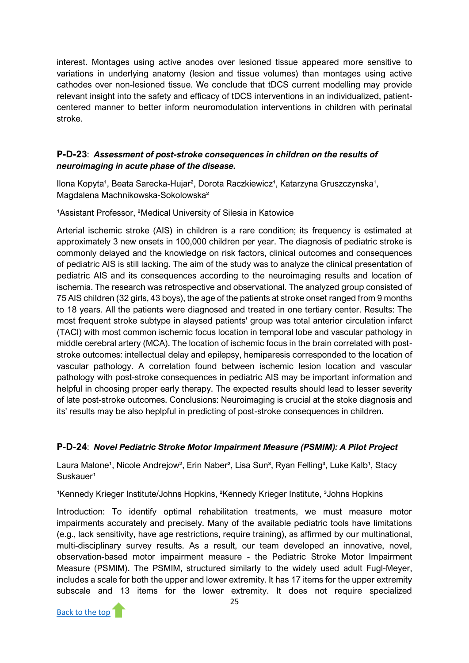interest. Montages using active anodes over lesioned tissue appeared more sensitive to variations in underlying anatomy (lesion and tissue volumes) than montages using active cathodes over non-lesioned tissue. We conclude that tDCS current modelling may provide relevant insight into the safety and efficacy of tDCS interventions in an individualized, patientcentered manner to better inform neuromodulation interventions in children with perinatal stroke.

# **P-D-23**: *Assessment of post-stroke consequences in children on the results of neuroimaging in acute phase of the disease.*

Ilona Kopyta<sup>1</sup>, Beata Sarecka-Hujar<sup>2</sup>, Dorota Raczkiewicz<sup>1</sup>, Katarzyna Gruszczynska<sup>1</sup>, Magdalena Machnikowska-Sokolowska²

<sup>1</sup>Assistant Professor, <sup>2</sup>Medical University of Silesia in Katowice

Arterial ischemic stroke (AIS) in children is a rare condition; its frequency is estimated at approximately 3 new onsets in 100,000 children per year. The diagnosis of pediatric stroke is commonly delayed and the knowledge on risk factors, clinical outcomes and consequences of pediatric AIS is still lacking. The aim of the study was to analyze the clinical presentation of pediatric AIS and its consequences according to the neuroimaging results and location of ischemia. The research was retrospective and observational. The analyzed group consisted of 75 AIS children (32 girls, 43 boys), the age of the patients at stroke onset ranged from 9 months to 18 years. All the patients were diagnosed and treated in one tertiary center. Results: The most frequent stroke subtype in alaysed patients' group was total anterior circulation infarct (TACI) with most common ischemic focus location in temporal lobe and vascular pathology in middle cerebral artery (MCA). The location of ischemic focus in the brain correlated with poststroke outcomes: intellectual delay and epilepsy, hemiparesis corresponded to the location of vascular pathology. A correlation found between ischemic lesion location and vascular pathology with post-stroke consequences in pediatric AIS may be important information and helpful in choosing proper early therapy. The expected results should lead to lesser severity of late post-stroke outcomes. Conclusions: Neuroimaging is crucial at the stoke diagnosis and its' results may be also heplpful in predicting of post-stroke consequences in children.

# **P-D-24**: *Novel Pediatric Stroke Motor Impairment Measure (PSMIM): A Pilot Project*

Laura Malone<sup>1</sup>, Nicole Andrejow<sup>2</sup>, Erin Naber<sup>2</sup>, Lisa Sun<sup>3</sup>, Ryan Felling<sup>3</sup>, Luke Kalb<sup>1</sup>, Stacy Suskauer<sup>1</sup>

<sup>1</sup>Kennedy Krieger Institute/Johns Hopkins, <sup>2</sup>Kennedy Krieger Institute, <sup>3</sup>Johns Hopkins

Introduction: To identify optimal rehabilitation treatments, we must measure motor impairments accurately and precisely. Many of the available pediatric tools have limitations (e.g., lack sensitivity, have age restrictions, require training), as affirmed by our multinational, multi-disciplinary survey results. As a result, our team developed an innovative, novel, observation-based motor impairment measure - the Pediatric Stroke Motor Impairment Measure (PSMIM). The PSMIM, structured similarly to the widely used adult Fugl-Meyer, includes a scale for both the upper and lower extremity. It has 17 items for the upper extremity subscale and 13 items for the lower extremity. It does not require specialized

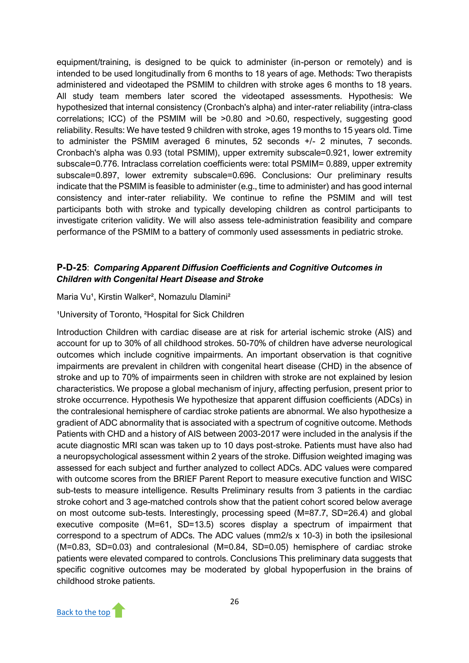equipment/training, is designed to be quick to administer (in-person or remotely) and is intended to be used longitudinally from 6 months to 18 years of age. Methods: Two therapists administered and videotaped the PSMIM to children with stroke ages 6 months to 18 years. All study team members later scored the videotaped assessments. Hypothesis: We hypothesized that internal consistency (Cronbach's alpha) and inter-rater reliability (intra-class correlations; ICC) of the PSMIM will be >0.80 and >0.60, respectively, suggesting good reliability. Results: We have tested 9 children with stroke, ages 19 months to 15 years old. Time to administer the PSMIM averaged 6 minutes, 52 seconds +/- 2 minutes, 7 seconds. Cronbach's alpha was 0.93 (total PSMIM), upper extremity subscale=0.921, lower extremity subscale=0.776. Intraclass correlation coefficients were: total PSMIM= 0.889, upper extremity subscale=0.897, lower extremity subscale=0.696. Conclusions: Our preliminary results indicate that the PSMIM is feasible to administer (e.g., time to administer) and has good internal consistency and inter-rater reliability. We continue to refine the PSMIM and will test participants both with stroke and typically developing children as control participants to investigate criterion validity. We will also assess tele-administration feasibility and compare performance of the PSMIM to a battery of commonly used assessments in pediatric stroke.

# **P-D-25**: *Comparing Apparent Diffusion Coefficients and Cognitive Outcomes in Children with Congenital Heart Disease and Stroke*

#### Maria Vu<sup>1</sup>, Kirstin Walker<sup>2</sup>, Nomazulu Dlamini<sup>2</sup>

#### <sup>1</sup>University of Toronto, <sup>2</sup>Hospital for Sick Children

Introduction Children with cardiac disease are at risk for arterial ischemic stroke (AIS) and account for up to 30% of all childhood strokes. 50-70% of children have adverse neurological outcomes which include cognitive impairments. An important observation is that cognitive impairments are prevalent in children with congenital heart disease (CHD) in the absence of stroke and up to 70% of impairments seen in children with stroke are not explained by lesion characteristics. We propose a global mechanism of injury, affecting perfusion, present prior to stroke occurrence. Hypothesis We hypothesize that apparent diffusion coefficients (ADCs) in the contralesional hemisphere of cardiac stroke patients are abnormal. We also hypothesize a gradient of ADC abnormality that is associated with a spectrum of cognitive outcome. Methods Patients with CHD and a history of AIS between 2003-2017 were included in the analysis if the acute diagnostic MRI scan was taken up to 10 days post-stroke. Patients must have also had a neuropsychological assessment within 2 years of the stroke. Diffusion weighted imaging was assessed for each subject and further analyzed to collect ADCs. ADC values were compared with outcome scores from the BRIEF Parent Report to measure executive function and WISC sub-tests to measure intelligence. Results Preliminary results from 3 patients in the cardiac stroke cohort and 3 age-matched controls show that the patient cohort scored below average on most outcome sub-tests. Interestingly, processing speed (M=87.7, SD=26.4) and global executive composite (M=61, SD=13.5) scores display a spectrum of impairment that correspond to a spectrum of ADCs. The ADC values (mm2/s x 10-3) in both the ipsilesional (M=0.83, SD=0.03) and contralesional (M=0.84, SD=0.05) hemisphere of cardiac stroke patients were elevated compared to controls. Conclusions This preliminary data suggests that specific cognitive outcomes may be moderated by global hypoperfusion in the brains of childhood stroke patients.

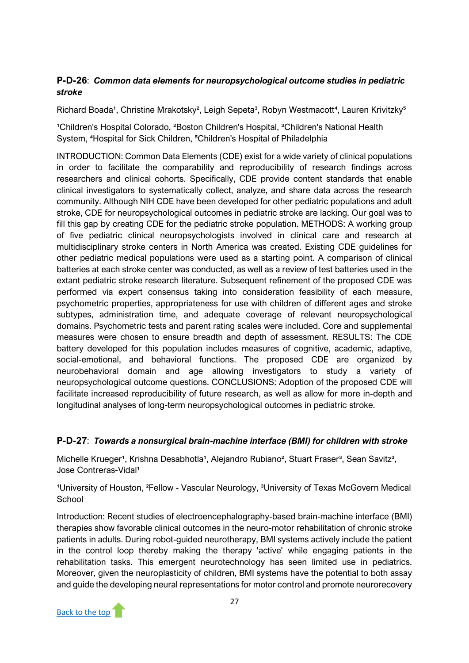# **P-D-26**: *Common data elements for neuropsychological outcome studies in pediatric stroke*

Richard Boada<sup>1</sup>, Christine Mrakotsky<sup>2</sup>, Leigh Sepeta<sup>3</sup>, Robyn Westmacott<sup>4</sup>, Lauren Krivitzky<sup>5</sup>

<sup>1</sup>Children's Hospital Colorado, <sup>2</sup>Boston Children's Hospital, <sup>3</sup>Children's National Health System, <sup>4</sup>Hospital for Sick Children, <sup>5</sup>Children's Hospital of Philadelphia

INTRODUCTION: Common Data Elements (CDE) exist for a wide variety of clinical populations in order to facilitate the comparability and reproducibility of research findings across researchers and clinical cohorts. Specifically, CDE provide content standards that enable clinical investigators to systematically collect, analyze, and share data across the research community. Although NIH CDE have been developed for other pediatric populations and adult stroke, CDE for neuropsychological outcomes in pediatric stroke are lacking. Our goal was to fill this gap by creating CDE for the pediatric stroke population. METHODS: A working group of five pediatric clinical neuropsychologists involved in clinical care and research at multidisciplinary stroke centers in North America was created. Existing CDE guidelines for other pediatric medical populations were used as a starting point. A comparison of clinical batteries at each stroke center was conducted, as well as a review of test batteries used in the extant pediatric stroke research literature. Subsequent refinement of the proposed CDE was performed via expert consensus taking into consideration feasibility of each measure, psychometric properties, appropriateness for use with children of different ages and stroke subtypes, administration time, and adequate coverage of relevant neuropsychological domains. Psychometric tests and parent rating scales were included. Core and supplemental measures were chosen to ensure breadth and depth of assessment. RESULTS: The CDE battery developed for this population includes measures of cognitive, academic, adaptive, social-emotional, and behavioral functions. The proposed CDE are organized by neurobehavioral domain and age allowing investigators to study a variety of neuropsychological outcome questions. CONCLUSIONS: Adoption of the proposed CDE will facilitate increased reproducibility of future research, as well as allow for more in-depth and longitudinal analyses of long-term neuropsychological outcomes in pediatric stroke.

# **P-D-27**: *Towards a nonsurgical brain-machine interface (BMI) for children with stroke*

Michelle Krueger<sup>1</sup>, Krishna Desabhotla<sup>1</sup>, Alejandro Rubiano<sup>2</sup>, Stuart Fraser<sup>3</sup>, Sean Savitz<sup>3</sup>, Jose Contreras-Vidal<sup>1</sup>

<sup>1</sup>University of Houston, <sup>2</sup>Fellow - Vascular Neurology, <sup>3</sup>University of Texas McGovern Medical **School** 

Introduction: Recent studies of electroencephalography-based brain-machine interface (BMI) therapies show favorable clinical outcomes in the neuro-motor rehabilitation of chronic stroke patients in adults. During robot-guided neurotherapy, BMI systems actively include the patient in the control loop thereby making the therapy 'active' while engaging patients in the rehabilitation tasks. This emergent neurotechnology has seen limited use in pediatrics. Moreover, given the neuroplasticity of children, BMI systems have the potential to both assay and guide the developing neural representations for motor control and promote neurorecovery

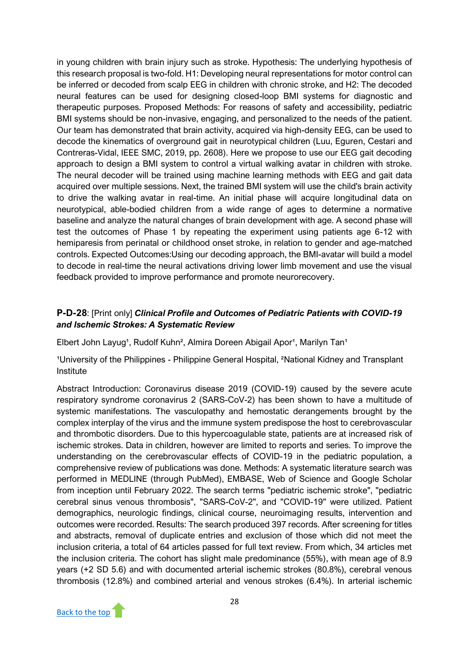in young children with brain injury such as stroke. Hypothesis: The underlying hypothesis of this research proposal is two-fold. H1: Developing neural representations for motor control can be inferred or decoded from scalp EEG in children with chronic stroke, and H2: The decoded neural features can be used for designing closed-loop BMI systems for diagnostic and therapeutic purposes. Proposed Methods: For reasons of safety and accessibility, pediatric BMI systems should be non-invasive, engaging, and personalized to the needs of the patient. Our team has demonstrated that brain activity, acquired via high-density EEG, can be used to decode the kinematics of overground gait in neurotypical children (Luu, Eguren, Cestari and Contreras-Vidal, IEEE SMC, 2019, pp. 2608). Here we propose to use our EEG gait decoding approach to design a BMI system to control a virtual walking avatar in children with stroke. The neural decoder will be trained using machine learning methods with EEG and gait data acquired over multiple sessions. Next, the trained BMI system will use the child's brain activity to drive the walking avatar in real-time. An initial phase will acquire longitudinal data on neurotypical, able-bodied children from a wide range of ages to determine a normative baseline and analyze the natural changes of brain development with age. A second phase will test the outcomes of Phase 1 by repeating the experiment using patients age 6-12 with hemiparesis from perinatal or childhood onset stroke, in relation to gender and age-matched controls. Expected Outcomes:Using our decoding approach, the BMI-avatar will build a model to decode in real-time the neural activations driving lower limb movement and use the visual feedback provided to improve performance and promote neurorecovery.

# **P-D-28**: [Print only] *Clinical Profile and Outcomes of Pediatric Patients with COVID-19 and Ischemic Strokes: A Systematic Review*

Elbert John Layug<sup>1</sup>, Rudolf Kuhn<sup>2</sup>, Almira Doreen Abigail Apor<sup>1</sup>, Marilyn Tan<sup>1</sup>

<sup>1</sup>University of the Philippines - Philippine General Hospital, <sup>2</sup>National Kidney and Transplant Institute

Abstract Introduction: Coronavirus disease 2019 (COVID-19) caused by the severe acute respiratory syndrome coronavirus 2 (SARS-CoV-2) has been shown to have a multitude of systemic manifestations. The vasculopathy and hemostatic derangements brought by the complex interplay of the virus and the immune system predispose the host to cerebrovascular and thrombotic disorders. Due to this hypercoagulable state, patients are at increased risk of ischemic strokes. Data in children, however are limited to reports and series. To improve the understanding on the cerebrovascular effects of COVID-19 in the pediatric population, a comprehensive review of publications was done. Methods: A systematic literature search was performed in MEDLINE (through PubMed), EMBASE, Web of Science and Google Scholar from inception until February 2022. The search terms "pediatric ischemic stroke", "pediatric cerebral sinus venous thrombosis", "SARS-CoV-2", and "COVID-19" were utilized. Patient demographics, neurologic findings, clinical course, neuroimaging results, intervention and outcomes were recorded. Results: The search produced 397 records. After screening for titles and abstracts, removal of duplicate entries and exclusion of those which did not meet the inclusion criteria, a total of 64 articles passed for full text review. From which, 34 articles met the inclusion criteria. The cohort has slight male predominance (55%), with mean age of 8.9 years (+2 SD 5.6) and with documented arterial ischemic strokes (80.8%), cerebral venous thrombosis (12.8%) and combined arterial and venous strokes (6.4%). In arterial ischemic

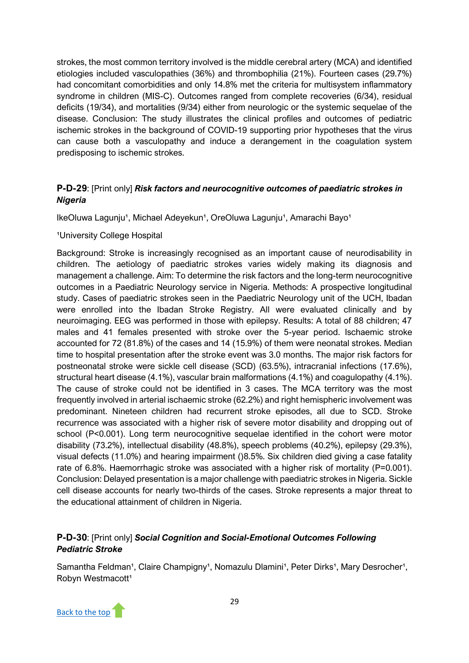strokes, the most common territory involved is the middle cerebral artery (MCA) and identified etiologies included vasculopathies (36%) and thrombophilia (21%). Fourteen cases (29.7%) had concomitant comorbidities and only 14.8% met the criteria for multisystem inflammatory syndrome in children (MIS-C). Outcomes ranged from complete recoveries (6/34), residual deficits (19/34), and mortalities (9/34) either from neurologic or the systemic sequelae of the disease. Conclusion: The study illustrates the clinical profiles and outcomes of pediatric ischemic strokes in the background of COVID-19 supporting prior hypotheses that the virus can cause both a vasculopathy and induce a derangement in the coagulation system predisposing to ischemic strokes.

# **P-D-29**: [Print only] *Risk factors and neurocognitive outcomes of paediatric strokes in Nigeria*

IkeOluwa Lagunju<sup>1</sup>, Michael Adeyekun<sup>1</sup>, OreOluwa Lagunju<sup>1</sup>, Amarachi Bayo<sup>1</sup>

#### <sup>1</sup>University College Hospital

Background: Stroke is increasingly recognised as an important cause of neurodisability in children. The aetiology of paediatric strokes varies widely making its diagnosis and management a challenge. Aim: To determine the risk factors and the long-term neurocognitive outcomes in a Paediatric Neurology service in Nigeria. Methods: A prospective longitudinal study. Cases of paediatric strokes seen in the Paediatric Neurology unit of the UCH, Ibadan were enrolled into the Ibadan Stroke Registry. All were evaluated clinically and by neuroimaging. EEG was performed in those with epilepsy. Results: A total of 88 children; 47 males and 41 females presented with stroke over the 5-year period. Ischaemic stroke accounted for 72 (81.8%) of the cases and 14 (15.9%) of them were neonatal strokes. Median time to hospital presentation after the stroke event was 3.0 months. The major risk factors for postneonatal stroke were sickle cell disease (SCD) (63.5%), intracranial infections (17.6%), structural heart disease (4.1%), vascular brain malformations (4.1%) and coagulopathy (4.1%). The cause of stroke could not be identified in 3 cases. The MCA territory was the most frequently involved in arterial ischaemic stroke (62.2%) and right hemispheric involvement was predominant. Nineteen children had recurrent stroke episodes, all due to SCD. Stroke recurrence was associated with a higher risk of severe motor disability and dropping out of school (P<0.001). Long term neurocognitive sequelae identified in the cohort were motor disability (73.2%), intellectual disability (48.8%), speech problems (40.2%), epilepsy (29.3%), visual defects (11.0%) and hearing impairment ()8.5%. Six children died giving a case fatality rate of 6.8%. Haemorrhagic stroke was associated with a higher risk of mortality (P=0.001). Conclusion: Delayed presentation is a major challenge with paediatric strokes in Nigeria. Sickle cell disease accounts for nearly two-thirds of the cases. Stroke represents a major threat to the educational attainment of children in Nigeria.

# **P-D-30**: [Print only] *Social Cognition and Social-Emotional Outcomes Following Pediatric Stroke*

Samantha Feldman<sup>1</sup>, Claire Champigny<sup>1</sup>, Nomazulu Dlamini<sup>1</sup>, Peter Dirks<sup>1</sup>, Mary Desrocher<sup>1</sup>, Robyn Westmacott<sup>1</sup>

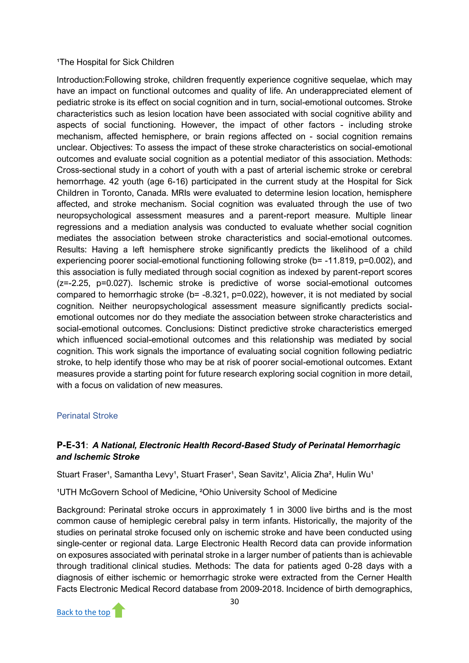#### <sup>1</sup>The Hospital for Sick Children

Introduction:Following stroke, children frequently experience cognitive sequelae, which may have an impact on functional outcomes and quality of life. An underappreciated element of pediatric stroke is its effect on social cognition and in turn, social-emotional outcomes. Stroke characteristics such as lesion location have been associated with social cognitive ability and aspects of social functioning. However, the impact of other factors - including stroke mechanism, affected hemisphere, or brain regions affected on - social cognition remains unclear. Objectives: To assess the impact of these stroke characteristics on social-emotional outcomes and evaluate social cognition as a potential mediator of this association. Methods: Cross-sectional study in a cohort of youth with a past of arterial ischemic stroke or cerebral hemorrhage. 42 youth (age 6-16) participated in the current study at the Hospital for Sick Children in Toronto, Canada. MRIs were evaluated to determine lesion location, hemisphere affected, and stroke mechanism. Social cognition was evaluated through the use of two neuropsychological assessment measures and a parent-report measure. Multiple linear regressions and a mediation analysis was conducted to evaluate whether social cognition mediates the association between stroke characteristics and social-emotional outcomes. Results: Having a left hemisphere stroke significantly predicts the likelihood of a child experiencing poorer social-emotional functioning following stroke (b= -11.819, p=0.002), and this association is fully mediated through social cognition as indexed by parent-report scores (z=-2.25, p=0.027). Ischemic stroke is predictive of worse social-emotional outcomes compared to hemorrhagic stroke (b= -8.321, p=0.022), however, it is not mediated by social cognition. Neither neuropsychological assessment measure significantly predicts socialemotional outcomes nor do they mediate the association between stroke characteristics and social-emotional outcomes. Conclusions: Distinct predictive stroke characteristics emerged which influenced social-emotional outcomes and this relationship was mediated by social cognition. This work signals the importance of evaluating social cognition following pediatric stroke, to help identify those who may be at risk of poorer social-emotional outcomes. Extant measures provide a starting point for future research exploring social cognition in more detail, with a focus on validation of new measures.

#### <span id="page-31-0"></span>Perinatal Stroke

# **P-E-31**: *A National, Electronic Health Record-Based Study of Perinatal Hemorrhagic and Ischemic Stroke*

Stuart Fraser<sup>1</sup>, Samantha Levy<sup>1</sup>, Stuart Fraser<sup>1</sup>, Sean Savitz<sup>1</sup>, Alicia Zha<sup>2</sup>, Hulin Wu<sup>1</sup>

<sup>1</sup>UTH McGovern School of Medicine, <sup>2</sup>Ohio University School of Medicine

Background: Perinatal stroke occurs in approximately 1 in 3000 live births and is the most common cause of hemiplegic cerebral palsy in term infants. Historically, the majority of the studies on perinatal stroke focused only on ischemic stroke and have been conducted using single-center or regional data. Large Electronic Health Record data can provide information on exposures associated with perinatal stroke in a larger number of patients than is achievable through traditional clinical studies. Methods: The data for patients aged 0-28 days with a diagnosis of either ischemic or hemorrhagic stroke were extracted from the Cerner Health Facts Electronic Medical Record database from 2009-2018. Incidence of birth demographics,

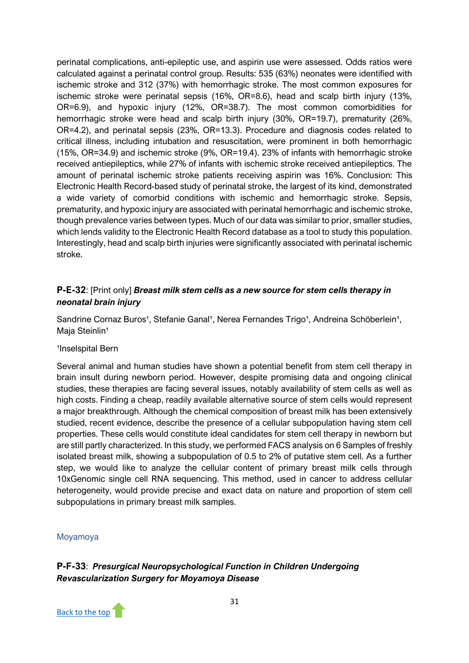perinatal complications, anti-epileptic use, and aspirin use were assessed. Odds ratios were calculated against a perinatal control group. Results: 535 (63%) neonates were identified with ischemic stroke and 312 (37%) with hemorrhagic stroke. The most common exposures for ischemic stroke were perinatal sepsis (16%, OR=8.6), head and scalp birth injury (13%, OR=6.9), and hypoxic injury (12%, OR=38.7). The most common comorbidities for hemorrhagic stroke were head and scalp birth injury (30%, OR=19.7), prematurity (26%, OR=4.2), and perinatal sepsis (23%, OR=13.3). Procedure and diagnosis codes related to critical illness, including intubation and resuscitation, were prominent in both hemorrhagic (15%, OR=34.9) and ischemic stroke (9%, OR=19.4). 23% of infants with hemorrhagic stroke received antiepileptics, while 27% of infants with ischemic stroke received antiepileptics. The amount of perinatal ischemic stroke patients receiving aspirin was 16%. Conclusion: This Electronic Health Record-based study of perinatal stroke, the largest of its kind, demonstrated a wide variety of comorbid conditions with ischemic and hemorrhagic stroke. Sepsis, prematurity, and hypoxic injury are associated with perinatal hemorrhagic and ischemic stroke, though prevalence varies between types. Much of our data was similar to prior, smaller studies, which lends validity to the Electronic Health Record database as a tool to study this population. Interestingly, head and scalp birth injuries were significantly associated with perinatal ischemic stroke.

# **P-E-32**: [Print only] *Breast milk stem cells as a new source for stem cells therapy in neonatal brain injury*

Sandrine Cornaz Buros<sup>1</sup>, Stefanie Ganal<sup>1</sup>, Nerea Fernandes Trigo<sup>1</sup>, Andreina Schöberlein<sup>1</sup>, Maja Steinlin<sup>1</sup>

#### <sup>1</sup>Inselspital Bern

Several animal and human studies have shown a potential benefit from stem cell therapy in brain insult during newborn period. However, despite promising data and ongoing clinical studies, these therapies are facing several issues, notably availability of stem cells as well as high costs. Finding a cheap, readily available alternative source of stem cells would represent a major breakthrough. Although the chemical composition of breast milk has been extensively studied, recent evidence, describe the presence of a cellular subpopulation having stem cell properties. These cells would constitute ideal candidates for stem cell therapy in newborn but are still partly characterized. In this study, we performed FACS analysis on 6 Samples of freshly isolated breast milk, showing a subpopulation of 0.5 to 2% of putative stem cell. As a further step, we would like to analyze the cellular content of primary breast milk cells through 10xGenomic single cell RNA sequencing. This method, used in cancer to address cellular heterogeneity, would provide precise and exact data on nature and proportion of stem cell subpopulations in primary breast milk samples.

#### <span id="page-32-0"></span>Moyamoya

**P-F-33**: *Presurgical Neuropsychological Function in Children Undergoing Revascularization Surgery for Moyamoya Disease*

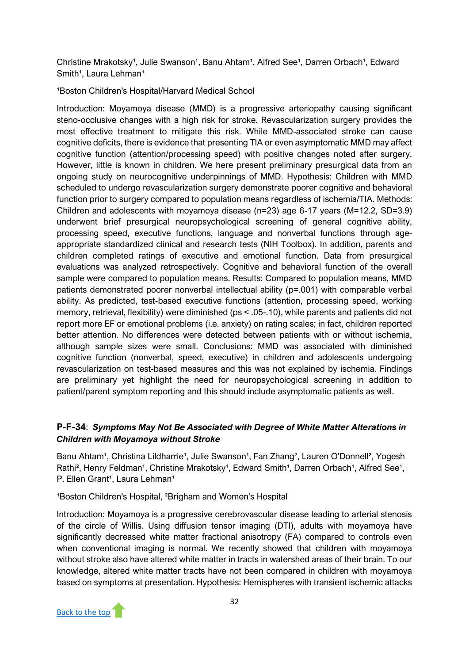Christine Mrakotsky<sup>1</sup>, Julie Swanson<sup>1</sup>, Banu Ahtam<sup>1</sup>, Alfred See<sup>1</sup>, Darren Orbach<sup>1</sup>, Edward Smith<sup>1</sup>, Laura Lehman<sup>1</sup>

<sup>1</sup>Boston Children's Hospital/Harvard Medical School

Introduction: Moyamoya disease (MMD) is a progressive arteriopathy causing significant steno-occlusive changes with a high risk for stroke. Revascularization surgery provides the most effective treatment to mitigate this risk. While MMD-associated stroke can cause cognitive deficits, there is evidence that presenting TIA or even asymptomatic MMD may affect cognitive function (attention/processing speed) with positive changes noted after surgery. However, little is known in children. We here present preliminary presurgical data from an ongoing study on neurocognitive underpinnings of MMD. Hypothesis: Children with MMD scheduled to undergo revascularization surgery demonstrate poorer cognitive and behavioral function prior to surgery compared to population means regardless of ischemia/TIA. Methods: Children and adolescents with moyamoya disease (n=23) age 6-17 years (M=12.2, SD=3.9) underwent brief presurgical neuropsychological screening of general cognitive ability, processing speed, executive functions, language and nonverbal functions through ageappropriate standardized clinical and research tests (NIH Toolbox). In addition, parents and children completed ratings of executive and emotional function. Data from presurgical evaluations was analyzed retrospectively. Cognitive and behavioral function of the overall sample were compared to population means. Results: Compared to population means, MMD patients demonstrated poorer nonverbal intellectual ability (p=.001) with comparable verbal ability. As predicted, test-based executive functions (attention, processing speed, working memory, retrieval, flexibility) were diminished (ps < .05-.10), while parents and patients did not report more EF or emotional problems (i.e. anxiety) on rating scales; in fact, children reported better attention. No differences were detected between patients with or without ischemia, although sample sizes were small. Conclusions: MMD was associated with diminished cognitive function (nonverbal, speed, executive) in children and adolescents undergoing revascularization on test-based measures and this was not explained by ischemia. Findings are preliminary yet highlight the need for neuropsychological screening in addition to patient/parent symptom reporting and this should include asymptomatic patients as well.

# **P-F-34**: *Symptoms May Not Be Associated with Degree of White Matter Alterations in Children with Moyamoya without Stroke*

Banu Ahtam<sup>1</sup>, Christina Lildharrie<sup>1</sup>, Julie Swanson<sup>1</sup>, Fan Zhang<sup>2</sup>, Lauren O'Donnell<sup>2</sup>, Yogesh Rathi<sup>2</sup>, Henry Feldman<sup>1</sup>, Christine Mrakotsky<sup>1</sup>, Edward Smith<sup>1</sup>, Darren Orbach<sup>1</sup>, Alfred See<sup>1</sup>, P. Ellen Grant<sup>1</sup>, Laura Lehman<sup>1</sup>

<sup>1</sup>Boston Children's Hospital, <sup>2</sup>Brigham and Women's Hospital

Introduction: Moyamoya is a progressive cerebrovascular disease leading to arterial stenosis of the circle of Willis. Using diffusion tensor imaging (DTI), adults with moyamoya have significantly decreased white matter fractional anisotropy (FA) compared to controls even when conventional imaging is normal. We recently showed that children with moyamoya without stroke also have altered white matter in tracts in watershed areas of their brain. To our knowledge, altered white matter tracts have not been compared in children with moyamoya based on symptoms at presentation. Hypothesis: Hemispheres with transient ischemic attacks

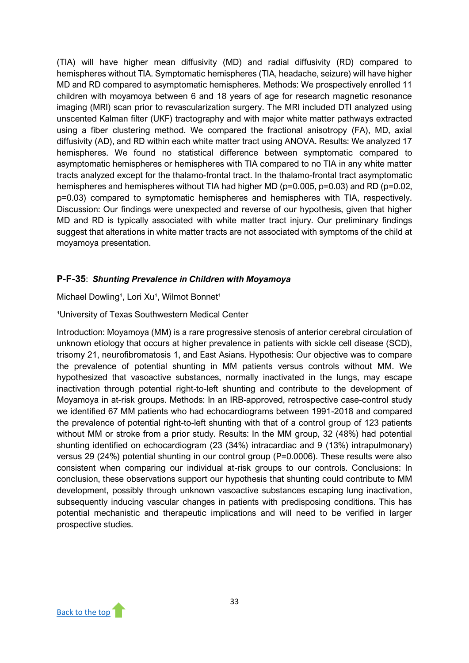(TIA) will have higher mean diffusivity (MD) and radial diffusivity (RD) compared to hemispheres without TIA. Symptomatic hemispheres (TIA, headache, seizure) will have higher MD and RD compared to asymptomatic hemispheres. Methods: We prospectively enrolled 11 children with moyamoya between 6 and 18 years of age for research magnetic resonance imaging (MRI) scan prior to revascularization surgery. The MRI included DTI analyzed using unscented Kalman filter (UKF) tractography and with major white matter pathways extracted using a fiber clustering method. We compared the fractional anisotropy (FA), MD, axial diffusivity (AD), and RD within each white matter tract using ANOVA. Results: We analyzed 17 hemispheres. We found no statistical difference between symptomatic compared to asymptomatic hemispheres or hemispheres with TIA compared to no TIA in any white matter tracts analyzed except for the thalamo-frontal tract. In the thalamo-frontal tract asymptomatic hemispheres and hemispheres without TIA had higher MD (p=0.005, p=0.03) and RD (p=0.02, p=0.03) compared to symptomatic hemispheres and hemispheres with TIA, respectively. Discussion: Our findings were unexpected and reverse of our hypothesis, given that higher MD and RD is typically associated with white matter tract injury. Our preliminary findings suggest that alterations in white matter tracts are not associated with symptoms of the child at moyamoya presentation.

# **P-F-35**: *Shunting Prevalence in Children with Moyamoya*

Michael Dowling<sup>1</sup>, Lori Xu<sup>1</sup>, Wilmot Bonnet<sup>1</sup>

### <sup>1</sup>University of Texas Southwestern Medical Center

Introduction: Moyamoya (MM) is a rare progressive stenosis of anterior cerebral circulation of unknown etiology that occurs at higher prevalence in patients with sickle cell disease (SCD), trisomy 21, neurofibromatosis 1, and East Asians. Hypothesis: Our objective was to compare the prevalence of potential shunting in MM patients versus controls without MM. We hypothesized that vasoactive substances, normally inactivated in the lungs, may escape inactivation through potential right-to-left shunting and contribute to the development of Moyamoya in at-risk groups. Methods: In an IRB-approved, retrospective case-control study we identified 67 MM patients who had echocardiograms between 1991-2018 and compared the prevalence of potential right-to-left shunting with that of a control group of 123 patients without MM or stroke from a prior study. Results: In the MM group, 32 (48%) had potential shunting identified on echocardiogram (23 (34%) intracardiac and 9 (13%) intrapulmonary) versus 29 (24%) potential shunting in our control group (P=0.0006). These results were also consistent when comparing our individual at-risk groups to our controls. Conclusions: In conclusion, these observations support our hypothesis that shunting could contribute to MM development, possibly through unknown vasoactive substances escaping lung inactivation, subsequently inducing vascular changes in patients with predisposing conditions. This has potential mechanistic and therapeutic implications and will need to be verified in larger prospective studies.

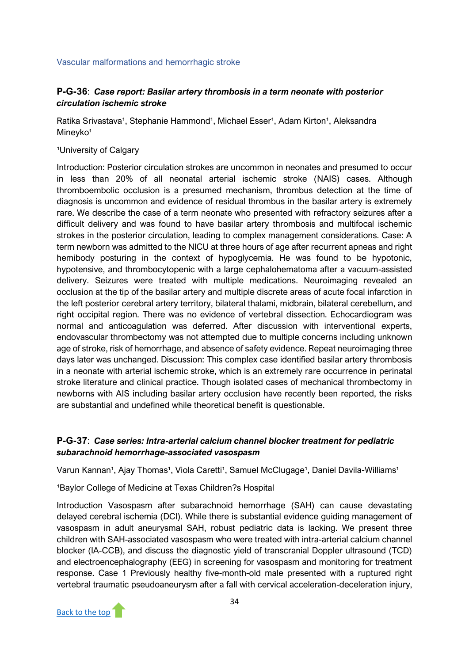<span id="page-35-0"></span>Vascular malformations and hemorrhagic stroke

# **P-G-36**: *Case report: Basilar artery thrombosis in a term neonate with posterior circulation ischemic stroke*

Ratika Srivastava<sup>1</sup>, Stephanie Hammond<sup>1</sup>, Michael Esser<sup>1</sup>, Adam Kirton<sup>1</sup>, Aleksandra Mineyko<sup>1</sup>

<sup>1</sup>University of Calgary

Introduction: Posterior circulation strokes are uncommon in neonates and presumed to occur in less than 20% of all neonatal arterial ischemic stroke (NAIS) cases. Although thromboembolic occlusion is a presumed mechanism, thrombus detection at the time of diagnosis is uncommon and evidence of residual thrombus in the basilar artery is extremely rare. We describe the case of a term neonate who presented with refractory seizures after a difficult delivery and was found to have basilar artery thrombosis and multifocal ischemic strokes in the posterior circulation, leading to complex management considerations. Case: A term newborn was admitted to the NICU at three hours of age after recurrent apneas and right hemibody posturing in the context of hypoglycemia. He was found to be hypotonic, hypotensive, and thrombocytopenic with a large cephalohematoma after a vacuum-assisted delivery. Seizures were treated with multiple medications. Neuroimaging revealed an occlusion at the tip of the basilar artery and multiple discrete areas of acute focal infarction in the left posterior cerebral artery territory, bilateral thalami, midbrain, bilateral cerebellum, and right occipital region. There was no evidence of vertebral dissection. Echocardiogram was normal and anticoagulation was deferred. After discussion with interventional experts, endovascular thrombectomy was not attempted due to multiple concerns including unknown age of stroke, risk of hemorrhage, and absence of safety evidence. Repeat neuroimaging three days later was unchanged. Discussion: This complex case identified basilar artery thrombosis in a neonate with arterial ischemic stroke, which is an extremely rare occurrence in perinatal stroke literature and clinical practice. Though isolated cases of mechanical thrombectomy in newborns with AIS including basilar artery occlusion have recently been reported, the risks are substantial and undefined while theoretical benefit is questionable.

# **P-G-37**: *Case series: Intra-arterial calcium channel blocker treatment for pediatric subarachnoid hemorrhage-associated vasospasm*

Varun Kannan<sup>1</sup>, Ajay Thomas<sup>1</sup>, Viola Caretti<sup>1</sup>, Samuel McClugage<sup>1</sup>, Daniel Davila-Williams<sup>1</sup>

<sup>1</sup>Baylor College of Medicine at Texas Children?s Hospital

Introduction Vasospasm after subarachnoid hemorrhage (SAH) can cause devastating delayed cerebral ischemia (DCI). While there is substantial evidence guiding management of vasospasm in adult aneurysmal SAH, robust pediatric data is lacking. We present three children with SAH-associated vasospasm who were treated with intra-arterial calcium channel blocker (IA-CCB), and discuss the diagnostic yield of transcranial Doppler ultrasound (TCD) and electroencephalography (EEG) in screening for vasospasm and monitoring for treatment response. Case 1 Previously healthy five-month-old male presented with a ruptured right vertebral traumatic pseudoaneurysm after a fall with cervical acceleration-deceleration injury,